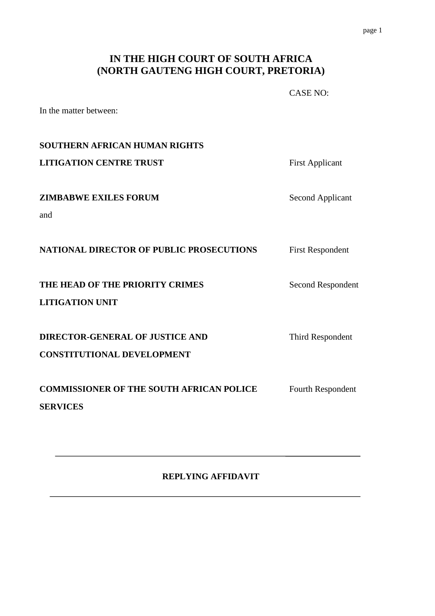#### **IN THE HIGH COURT OF SOUTH AFRICA (NORTH GAUTENG HIGH COURT, PRETORIA)**

CASE NO:

In the matter between:

# **SOUTHERN AFRICAN HUMAN RIGHTS LITIGATION CENTRE TRUST** First Applicant **ZIMBABWE EXILES FORUM** Second Applicant and **NATIONAL DIRECTOR OF PUBLIC PROSECUTIONS** First Respondent **THE HEAD OF THE PRIORITY CRIMES** Second Respondent **LITIGATION UNIT DIRECTOR-GENERAL OF JUSTICE AND** Third Respondent **CONSTITUTIONAL DEVELOPMENT COMMISSIONER OF THE SOUTH AFRICAN POLICE** Fourth Respondent **SERVICES**

#### **REPLYING AFFIDAVIT**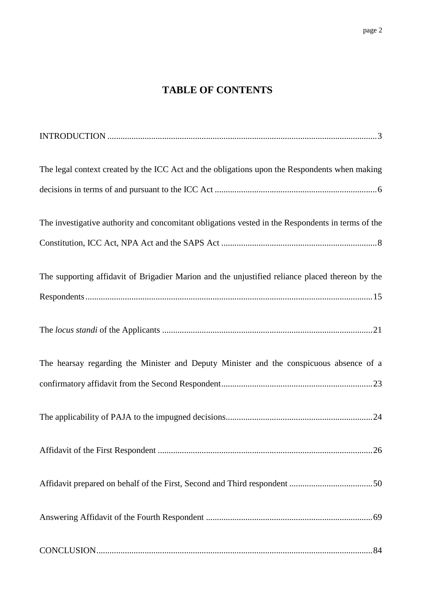### **TABLE OF CONTENTS**

| The legal context created by the ICC Act and the obligations upon the Respondents when making     |
|---------------------------------------------------------------------------------------------------|
|                                                                                                   |
| The investigative authority and concomitant obligations vested in the Respondents in terms of the |
|                                                                                                   |
| The supporting affidavit of Brigadier Marion and the unjustified reliance placed thereon by the   |
|                                                                                                   |
|                                                                                                   |
| The hearsay regarding the Minister and Deputy Minister and the conspicuous absence of a           |
|                                                                                                   |
|                                                                                                   |
|                                                                                                   |
|                                                                                                   |
|                                                                                                   |
|                                                                                                   |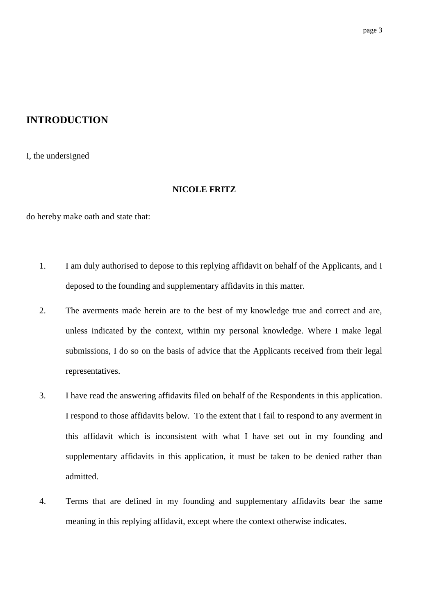#### page 3

#### <span id="page-2-0"></span>**INTRODUCTION**

I, the undersigned

#### **NICOLE FRITZ**

do hereby make oath and state that:

- 1. I am duly authorised to depose to this replying affidavit on behalf of the Applicants, and I deposed to the founding and supplementary affidavits in this matter.
- 2. The averments made herein are to the best of my knowledge true and correct and are, unless indicated by the context, within my personal knowledge. Where I make legal submissions, I do so on the basis of advice that the Applicants received from their legal representatives.
- 3. I have read the answering affidavits filed on behalf of the Respondents in this application. I respond to those affidavits below. To the extent that I fail to respond to any averment in this affidavit which is inconsistent with what I have set out in my founding and supplementary affidavits in this application, it must be taken to be denied rather than admitted.
- 4. Terms that are defined in my founding and supplementary affidavits bear the same meaning in this replying affidavit, except where the context otherwise indicates.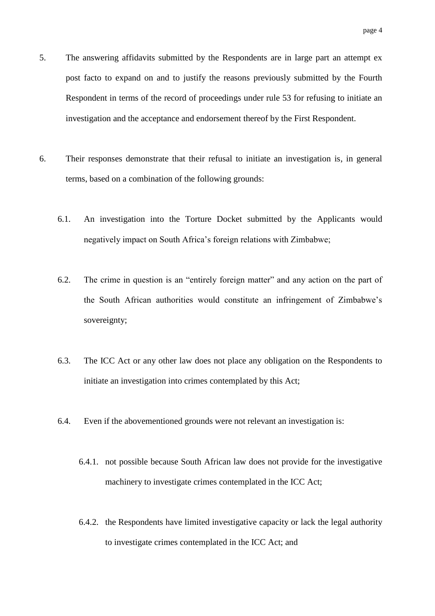- 5. The answering affidavits submitted by the Respondents are in large part an attempt ex post facto to expand on and to justify the reasons previously submitted by the Fourth Respondent in terms of the record of proceedings under rule 53 for refusing to initiate an investigation and the acceptance and endorsement thereof by the First Respondent.
- 6. Their responses demonstrate that their refusal to initiate an investigation is, in general terms, based on a combination of the following grounds:
	- 6.1. An investigation into the Torture Docket submitted by the Applicants would negatively impact on South Africa"s foreign relations with Zimbabwe;
	- 6.2. The crime in question is an "entirely foreign matter" and any action on the part of the South African authorities would constitute an infringement of Zimbabwe"s sovereignty;
	- 6.3. The ICC Act or any other law does not place any obligation on the Respondents to initiate an investigation into crimes contemplated by this Act;
	- 6.4. Even if the abovementioned grounds were not relevant an investigation is:
		- 6.4.1. not possible because South African law does not provide for the investigative machinery to investigate crimes contemplated in the ICC Act;
		- 6.4.2. the Respondents have limited investigative capacity or lack the legal authority to investigate crimes contemplated in the ICC Act; and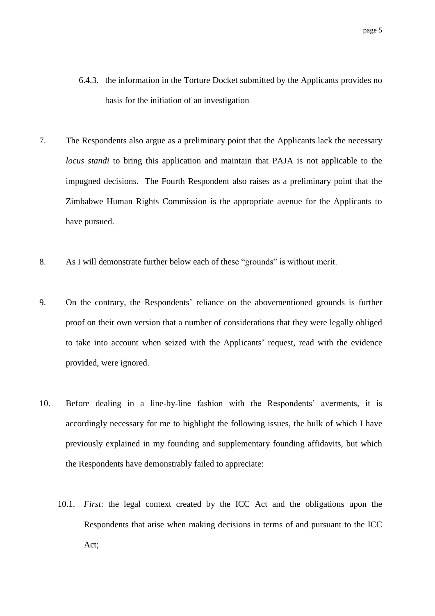- 6.4.3. the information in the Torture Docket submitted by the Applicants provides no basis for the initiation of an investigation
- 7. The Respondents also argue as a preliminary point that the Applicants lack the necessary *locus standi* to bring this application and maintain that PAJA is not applicable to the impugned decisions. The Fourth Respondent also raises as a preliminary point that the Zimbabwe Human Rights Commission is the appropriate avenue for the Applicants to have pursued.
- 8. As I will demonstrate further below each of these "grounds" is without merit.
- 9. On the contrary, the Respondents" reliance on the abovementioned grounds is further proof on their own version that a number of considerations that they were legally obliged to take into account when seized with the Applicants" request, read with the evidence provided, were ignored.
- 10. Before dealing in a line-by-line fashion with the Respondents' averments, it is accordingly necessary for me to highlight the following issues, the bulk of which I have previously explained in my founding and supplementary founding affidavits, but which the Respondents have demonstrably failed to appreciate:
	- 10.1. *First*: the legal context created by the ICC Act and the obligations upon the Respondents that arise when making decisions in terms of and pursuant to the ICC Act;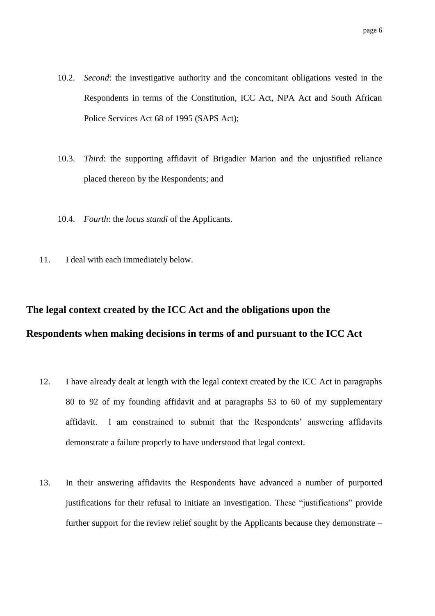- 10.2. *Second*: the investigative authority and the concomitant obligations vested in the Respondents in terms of the Constitution, ICC Act, NPA Act and South African Police Services Act 68 of 1995 (SAPS Act);
- 10.3. *Third*: the supporting affidavit of Brigadier Marion and the unjustified reliance placed thereon by the Respondents; and
- 10.4. *Fourth*: the *locus standi* of the Applicants.
- 11. I deal with each immediately below.

## <span id="page-5-0"></span>**The legal context created by the ICC Act and the obligations upon the Respondents when making decisions in terms of and pursuant to the ICC Act**

- 12. I have already dealt at length with the legal context created by the ICC Act in paragraphs 80 to 92 of my founding affidavit and at paragraphs 53 to 60 of my supplementary affidavit. I am constrained to submit that the Respondents' answering affidavits demonstrate a failure properly to have understood that legal context.
- 13. In their answering affidavits the Respondents have advanced a number of purported justifications for their refusal to initiate an investigation. These "justifications" provide further support for the review relief sought by the Applicants because they demonstrate –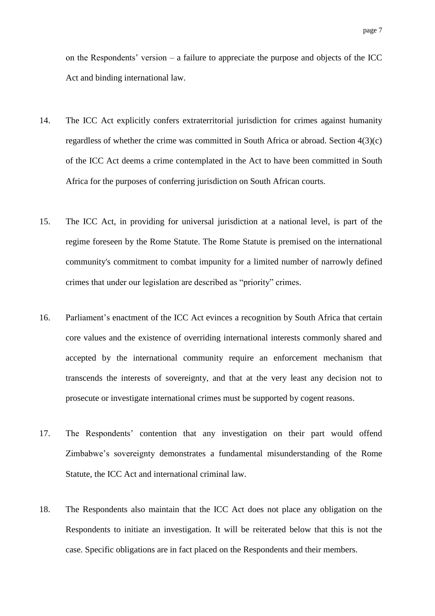on the Respondents' version  $-$  a failure to appreciate the purpose and objects of the ICC Act and binding international law.

- 14. The ICC Act explicitly confers extraterritorial jurisdiction for crimes against humanity regardless of whether the crime was committed in South Africa or abroad. Section 4(3)(c) of the ICC Act deems a crime contemplated in the Act to have been committed in South Africa for the purposes of conferring jurisdiction on South African courts.
- 15. The ICC Act, in providing for universal jurisdiction at a national level, is part of the regime foreseen by the Rome Statute. The Rome Statute is premised on the international community's commitment to combat impunity for a limited number of narrowly defined crimes that under our legislation are described as "priority" crimes.
- 16. Parliament's enactment of the ICC Act evinces a recognition by South Africa that certain core values and the existence of overriding international interests commonly shared and accepted by the international community require an enforcement mechanism that transcends the interests of sovereignty, and that at the very least any decision not to prosecute or investigate international crimes must be supported by cogent reasons.
- 17. The Respondents' contention that any investigation on their part would offend Zimbabwe"s sovereignty demonstrates a fundamental misunderstanding of the Rome Statute, the ICC Act and international criminal law.
- 18. The Respondents also maintain that the ICC Act does not place any obligation on the Respondents to initiate an investigation. It will be reiterated below that this is not the case. Specific obligations are in fact placed on the Respondents and their members.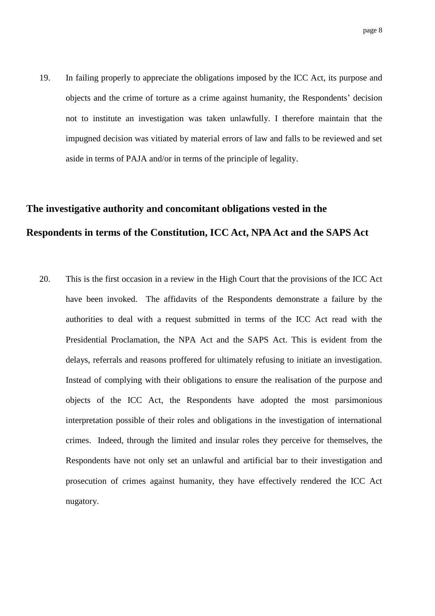19. In failing properly to appreciate the obligations imposed by the ICC Act, its purpose and objects and the crime of torture as a crime against humanity, the Respondents" decision not to institute an investigation was taken unlawfully. I therefore maintain that the impugned decision was vitiated by material errors of law and falls to be reviewed and set aside in terms of PAJA and/or in terms of the principle of legality.

## <span id="page-7-0"></span>**The investigative authority and concomitant obligations vested in the Respondents in terms of the Constitution, ICC Act, NPA Act and the SAPS Act**

20. This is the first occasion in a review in the High Court that the provisions of the ICC Act have been invoked. The affidavits of the Respondents demonstrate a failure by the authorities to deal with a request submitted in terms of the ICC Act read with the Presidential Proclamation, the NPA Act and the SAPS Act. This is evident from the delays, referrals and reasons proffered for ultimately refusing to initiate an investigation. Instead of complying with their obligations to ensure the realisation of the purpose and objects of the ICC Act, the Respondents have adopted the most parsimonious interpretation possible of their roles and obligations in the investigation of international crimes. Indeed, through the limited and insular roles they perceive for themselves, the Respondents have not only set an unlawful and artificial bar to their investigation and prosecution of crimes against humanity, they have effectively rendered the ICC Act nugatory.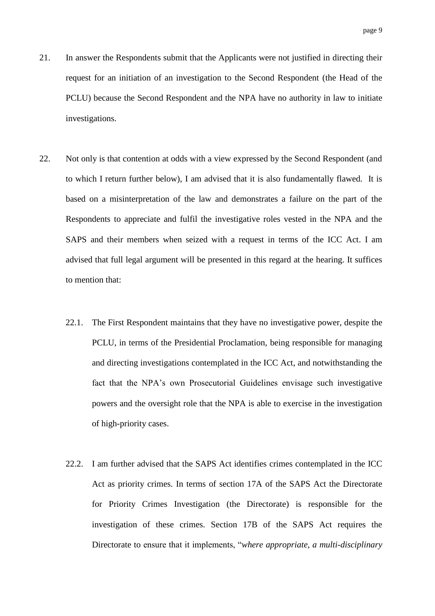- 21. In answer the Respondents submit that the Applicants were not justified in directing their request for an initiation of an investigation to the Second Respondent (the Head of the PCLU) because the Second Respondent and the NPA have no authority in law to initiate investigations.
- 22. Not only is that contention at odds with a view expressed by the Second Respondent (and to which I return further below), I am advised that it is also fundamentally flawed. It is based on a misinterpretation of the law and demonstrates a failure on the part of the Respondents to appreciate and fulfil the investigative roles vested in the NPA and the SAPS and their members when seized with a request in terms of the ICC Act. I am advised that full legal argument will be presented in this regard at the hearing. It suffices to mention that:
	- 22.1. The First Respondent maintains that they have no investigative power, despite the PCLU, in terms of the Presidential Proclamation, being responsible for managing and directing investigations contemplated in the ICC Act, and notwithstanding the fact that the NPA's own Prosecutorial Guidelines envisage such investigative powers and the oversight role that the NPA is able to exercise in the investigation of high-priority cases.
	- 22.2. I am further advised that the SAPS Act identifies crimes contemplated in the ICC Act as priority crimes. In terms of section 17A of the SAPS Act the Directorate for Priority Crimes Investigation (the Directorate) is responsible for the investigation of these crimes. Section 17B of the SAPS Act requires the Directorate to ensure that it implements, "*where appropriate, a multi-disciplinary*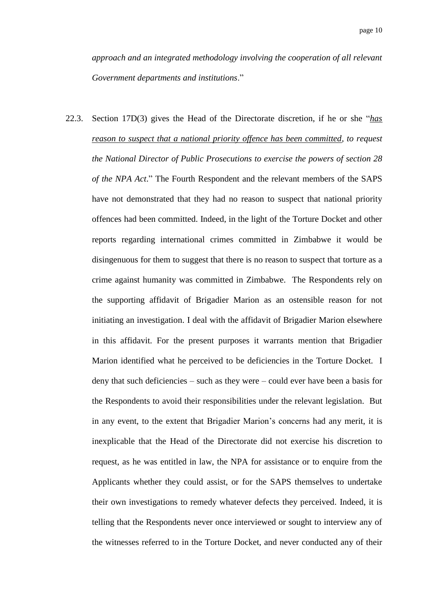*approach and an integrated methodology involving the cooperation of all relevant Government departments and institutions*."

22.3. Section 17D(3) gives the Head of the Directorate discretion, if he or she "*has reason to suspect that a national priority offence has been committed, to request the National Director of Public Prosecutions to exercise the powers of section 28 of the NPA Act*." The Fourth Respondent and the relevant members of the SAPS have not demonstrated that they had no reason to suspect that national priority offences had been committed. Indeed, in the light of the Torture Docket and other reports regarding international crimes committed in Zimbabwe it would be disingenuous for them to suggest that there is no reason to suspect that torture as a crime against humanity was committed in Zimbabwe. The Respondents rely on the supporting affidavit of Brigadier Marion as an ostensible reason for not initiating an investigation. I deal with the affidavit of Brigadier Marion elsewhere in this affidavit. For the present purposes it warrants mention that Brigadier Marion identified what he perceived to be deficiencies in the Torture Docket. I deny that such deficiencies – such as they were – could ever have been a basis for the Respondents to avoid their responsibilities under the relevant legislation. But in any event, to the extent that Brigadier Marion"s concerns had any merit, it is inexplicable that the Head of the Directorate did not exercise his discretion to request, as he was entitled in law, the NPA for assistance or to enquire from the Applicants whether they could assist, or for the SAPS themselves to undertake their own investigations to remedy whatever defects they perceived. Indeed, it is telling that the Respondents never once interviewed or sought to interview any of the witnesses referred to in the Torture Docket, and never conducted any of their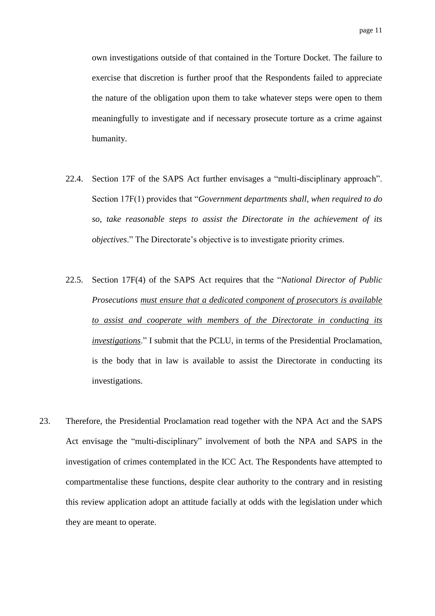own investigations outside of that contained in the Torture Docket. The failure to exercise that discretion is further proof that the Respondents failed to appreciate the nature of the obligation upon them to take whatever steps were open to them meaningfully to investigate and if necessary prosecute torture as a crime against humanity.

- 22.4. Section 17F of the SAPS Act further envisages a "multi-disciplinary approach". Section 17F(1) provides that "*Government departments shall, when required to do so, take reasonable steps to assist the Directorate in the achievement of its objectives.*" The Directorate's objective is to investigate priority crimes.
- 22.5. Section 17F(4) of the SAPS Act requires that the "*National Director of Public Prosecutions must ensure that a dedicated component of prosecutors is available to assist and cooperate with members of the Directorate in conducting its investigations*." I submit that the PCLU, in terms of the Presidential Proclamation, is the body that in law is available to assist the Directorate in conducting its investigations.
- 23. Therefore, the Presidential Proclamation read together with the NPA Act and the SAPS Act envisage the "multi-disciplinary" involvement of both the NPA and SAPS in the investigation of crimes contemplated in the ICC Act. The Respondents have attempted to compartmentalise these functions, despite clear authority to the contrary and in resisting this review application adopt an attitude facially at odds with the legislation under which they are meant to operate.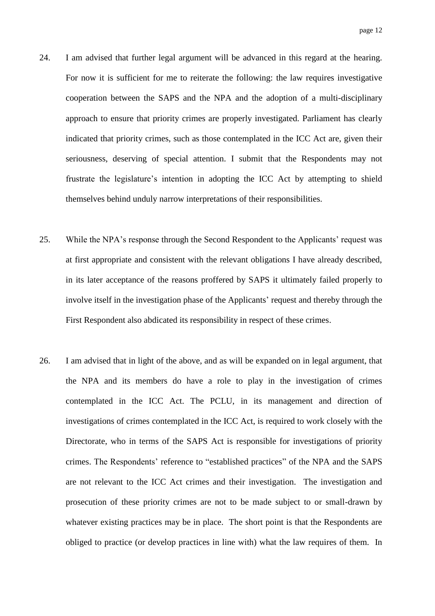- 24. I am advised that further legal argument will be advanced in this regard at the hearing. For now it is sufficient for me to reiterate the following: the law requires investigative cooperation between the SAPS and the NPA and the adoption of a multi-disciplinary approach to ensure that priority crimes are properly investigated. Parliament has clearly indicated that priority crimes, such as those contemplated in the ICC Act are, given their seriousness, deserving of special attention. I submit that the Respondents may not frustrate the legislature's intention in adopting the ICC Act by attempting to shield themselves behind unduly narrow interpretations of their responsibilities.
- 25. While the NPA"s response through the Second Respondent to the Applicants" request was at first appropriate and consistent with the relevant obligations I have already described, in its later acceptance of the reasons proffered by SAPS it ultimately failed properly to involve itself in the investigation phase of the Applicants' request and thereby through the First Respondent also abdicated its responsibility in respect of these crimes.
- 26. I am advised that in light of the above, and as will be expanded on in legal argument, that the NPA and its members do have a role to play in the investigation of crimes contemplated in the ICC Act. The PCLU, in its management and direction of investigations of crimes contemplated in the ICC Act, is required to work closely with the Directorate, who in terms of the SAPS Act is responsible for investigations of priority crimes. The Respondents" reference to "established practices" of the NPA and the SAPS are not relevant to the ICC Act crimes and their investigation. The investigation and prosecution of these priority crimes are not to be made subject to or small-drawn by whatever existing practices may be in place. The short point is that the Respondents are obliged to practice (or develop practices in line with) what the law requires of them. In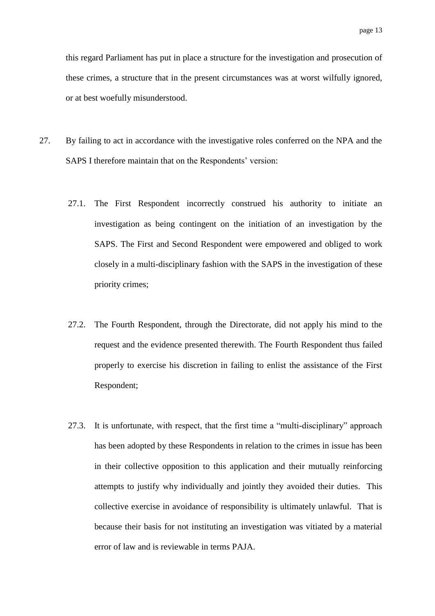this regard Parliament has put in place a structure for the investigation and prosecution of these crimes, a structure that in the present circumstances was at worst wilfully ignored, or at best woefully misunderstood.

- 27. By failing to act in accordance with the investigative roles conferred on the NPA and the SAPS I therefore maintain that on the Respondents' version:
	- 27.1. The First Respondent incorrectly construed his authority to initiate an investigation as being contingent on the initiation of an investigation by the SAPS. The First and Second Respondent were empowered and obliged to work closely in a multi-disciplinary fashion with the SAPS in the investigation of these priority crimes;
	- 27.2. The Fourth Respondent, through the Directorate, did not apply his mind to the request and the evidence presented therewith. The Fourth Respondent thus failed properly to exercise his discretion in failing to enlist the assistance of the First Respondent;
	- 27.3. It is unfortunate, with respect, that the first time a "multi-disciplinary" approach has been adopted by these Respondents in relation to the crimes in issue has been in their collective opposition to this application and their mutually reinforcing attempts to justify why individually and jointly they avoided their duties. This collective exercise in avoidance of responsibility is ultimately unlawful. That is because their basis for not instituting an investigation was vitiated by a material error of law and is reviewable in terms PAJA.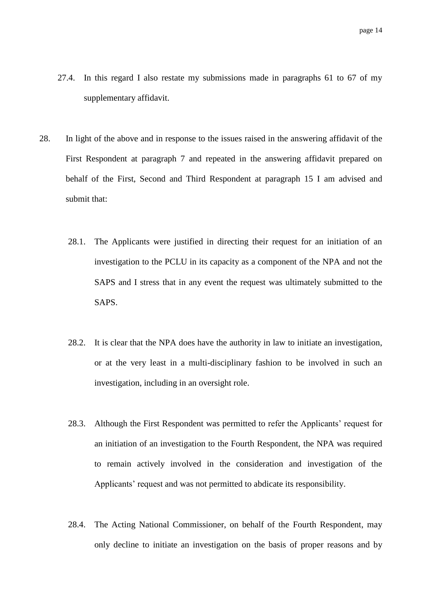- 27.4. In this regard I also restate my submissions made in paragraphs 61 to 67 of my supplementary affidavit.
- 28. In light of the above and in response to the issues raised in the answering affidavit of the First Respondent at paragraph 7 and repeated in the answering affidavit prepared on behalf of the First, Second and Third Respondent at paragraph 15 I am advised and submit that:
	- 28.1. The Applicants were justified in directing their request for an initiation of an investigation to the PCLU in its capacity as a component of the NPA and not the SAPS and I stress that in any event the request was ultimately submitted to the SAPS.
	- 28.2. It is clear that the NPA does have the authority in law to initiate an investigation, or at the very least in a multi-disciplinary fashion to be involved in such an investigation, including in an oversight role.
	- 28.3. Although the First Respondent was permitted to refer the Applicants' request for an initiation of an investigation to the Fourth Respondent, the NPA was required to remain actively involved in the consideration and investigation of the Applicants' request and was not permitted to abdicate its responsibility.
	- 28.4. The Acting National Commissioner, on behalf of the Fourth Respondent, may only decline to initiate an investigation on the basis of proper reasons and by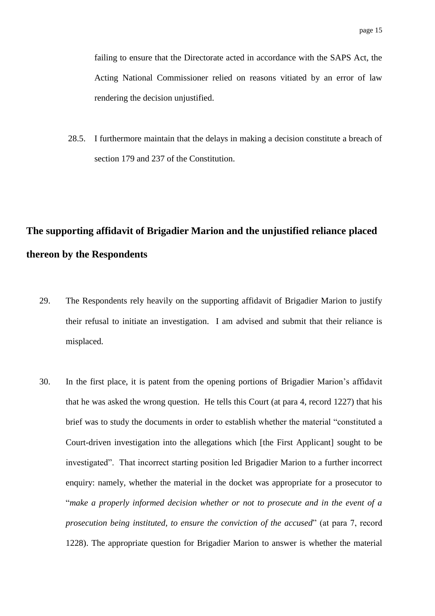failing to ensure that the Directorate acted in accordance with the SAPS Act, the Acting National Commissioner relied on reasons vitiated by an error of law rendering the decision unjustified.

28.5. I furthermore maintain that the delays in making a decision constitute a breach of section 179 and 237 of the Constitution.

### <span id="page-14-0"></span>**The supporting affidavit of Brigadier Marion and the unjustified reliance placed thereon by the Respondents**

- 29. The Respondents rely heavily on the supporting affidavit of Brigadier Marion to justify their refusal to initiate an investigation. I am advised and submit that their reliance is misplaced.
- 30. In the first place, it is patent from the opening portions of Brigadier Marion"s affidavit that he was asked the wrong question. He tells this Court (at para 4, record 1227) that his brief was to study the documents in order to establish whether the material "constituted a Court-driven investigation into the allegations which [the First Applicant] sought to be investigated". That incorrect starting position led Brigadier Marion to a further incorrect enquiry: namely, whether the material in the docket was appropriate for a prosecutor to "*make a properly informed decision whether or not to prosecute and in the event of a prosecution being instituted, to ensure the conviction of the accused*" (at para 7, record 1228). The appropriate question for Brigadier Marion to answer is whether the material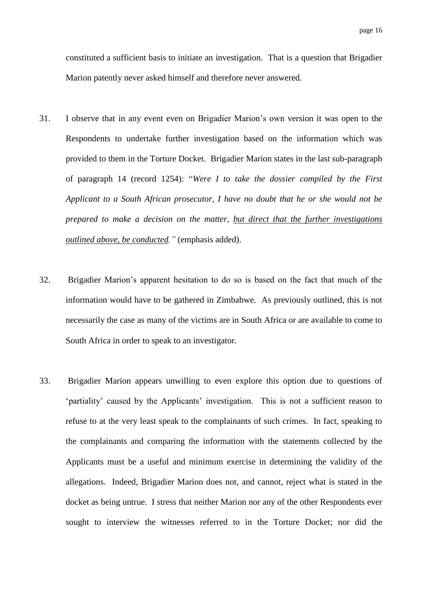constituted a sufficient basis to initiate an investigation. That is a question that Brigadier Marion patently never asked himself and therefore never answered.

- 31. I observe that in any event even on Brigadier Marion"s own version it was open to the Respondents to undertake further investigation based on the information which was provided to them in the Torture Docket. Brigadier Marion states in the last sub-paragraph of paragraph 14 (record 1254): "*Were I to take the dossier compiled by the First Applicant to a South African prosecutor, I have no doubt that he or she would not be prepared to make a decision on the matter, but direct that the further investigations outlined above, be conducted."* (emphasis added).
- 32. Brigadier Marion"s apparent hesitation to do so is based on the fact that much of the information would have to be gathered in Zimbabwe. As previously outlined, this is not necessarily the case as many of the victims are in South Africa or are available to come to South Africa in order to speak to an investigator.
- 33. Brigadier Marion appears unwilling to even explore this option due to questions of 'partiality' caused by the Applicants' investigation. This is not a sufficient reason to refuse to at the very least speak to the complainants of such crimes. In fact, speaking to the complainants and comparing the information with the statements collected by the Applicants must be a useful and minimum exercise in determining the validity of the allegations. Indeed, Brigadier Marion does not, and cannot, reject what is stated in the docket as being untrue. I stress that neither Marion nor any of the other Respondents ever sought to interview the witnesses referred to in the Torture Docket; nor did the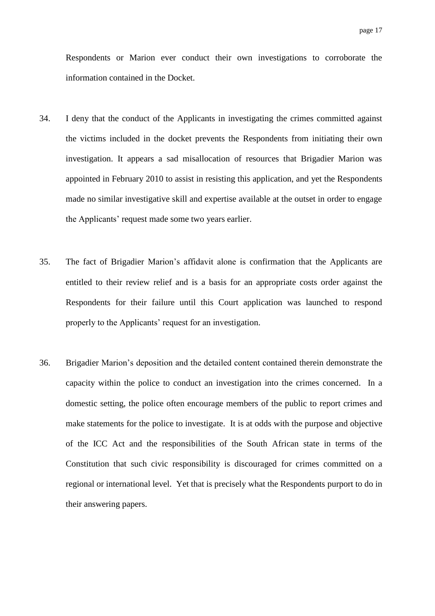Respondents or Marion ever conduct their own investigations to corroborate the information contained in the Docket.

- 34. I deny that the conduct of the Applicants in investigating the crimes committed against the victims included in the docket prevents the Respondents from initiating their own investigation. It appears a sad misallocation of resources that Brigadier Marion was appointed in February 2010 to assist in resisting this application, and yet the Respondents made no similar investigative skill and expertise available at the outset in order to engage the Applicants' request made some two years earlier.
- 35. The fact of Brigadier Marion"s affidavit alone is confirmation that the Applicants are entitled to their review relief and is a basis for an appropriate costs order against the Respondents for their failure until this Court application was launched to respond properly to the Applicants' request for an investigation.
- 36. Brigadier Marion"s deposition and the detailed content contained therein demonstrate the capacity within the police to conduct an investigation into the crimes concerned. In a domestic setting, the police often encourage members of the public to report crimes and make statements for the police to investigate. It is at odds with the purpose and objective of the ICC Act and the responsibilities of the South African state in terms of the Constitution that such civic responsibility is discouraged for crimes committed on a regional or international level. Yet that is precisely what the Respondents purport to do in their answering papers.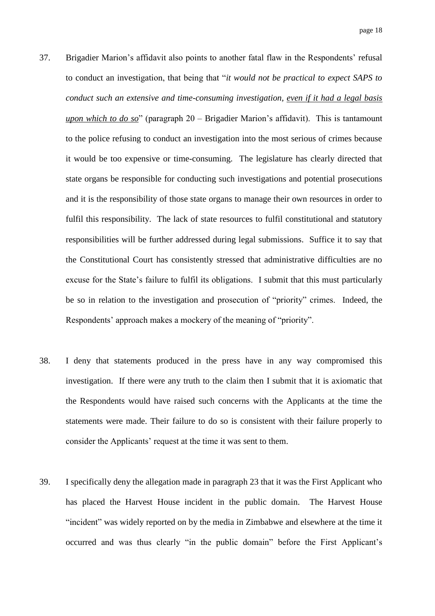- 37. Brigadier Marion"s affidavit also points to another fatal flaw in the Respondents" refusal to conduct an investigation, that being that "*it would not be practical to expect SAPS to conduct such an extensive and time-consuming investigation, even if it had a legal basis upon which to do so*" (paragraph 20 – Brigadier Marion"s affidavit). This is tantamount to the police refusing to conduct an investigation into the most serious of crimes because it would be too expensive or time-consuming. The legislature has clearly directed that state organs be responsible for conducting such investigations and potential prosecutions and it is the responsibility of those state organs to manage their own resources in order to fulfil this responsibility. The lack of state resources to fulfil constitutional and statutory responsibilities will be further addressed during legal submissions. Suffice it to say that the Constitutional Court has consistently stressed that administrative difficulties are no excuse for the State"s failure to fulfil its obligations. I submit that this must particularly be so in relation to the investigation and prosecution of "priority" crimes. Indeed, the Respondents' approach makes a mockery of the meaning of "priority".
- 38. I deny that statements produced in the press have in any way compromised this investigation. If there were any truth to the claim then I submit that it is axiomatic that the Respondents would have raised such concerns with the Applicants at the time the statements were made. Their failure to do so is consistent with their failure properly to consider the Applicants' request at the time it was sent to them.
- 39. I specifically deny the allegation made in paragraph 23 that it was the First Applicant who has placed the Harvest House incident in the public domain. The Harvest House "incident" was widely reported on by the media in Zimbabwe and elsewhere at the time it occurred and was thus clearly "in the public domain" before the First Applicant"s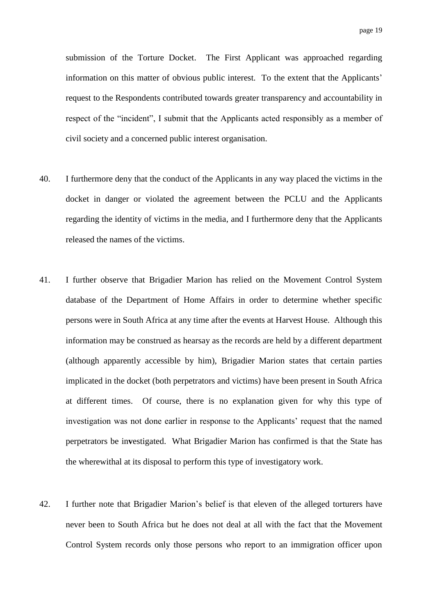submission of the Torture Docket. The First Applicant was approached regarding information on this matter of obvious public interest. To the extent that the Applicants" request to the Respondents contributed towards greater transparency and accountability in respect of the "incident", I submit that the Applicants acted responsibly as a member of civil society and a concerned public interest organisation.

- 40. I furthermore deny that the conduct of the Applicants in any way placed the victims in the docket in danger or violated the agreement between the PCLU and the Applicants regarding the identity of victims in the media, and I furthermore deny that the Applicants released the names of the victims.
- 41. I further observe that Brigadier Marion has relied on the Movement Control System database of the Department of Home Affairs in order to determine whether specific persons were in South Africa at any time after the events at Harvest House. Although this information may be construed as hearsay as the records are held by a different department (although apparently accessible by him), Brigadier Marion states that certain parties implicated in the docket (both perpetrators and victims) have been present in South Africa at different times. Of course, there is no explanation given for why this type of investigation was not done earlier in response to the Applicants' request that the named perpetrators be in**v**estigated. What Brigadier Marion has confirmed is that the State has the wherewithal at its disposal to perform this type of investigatory work.
- 42. I further note that Brigadier Marion"s belief is that eleven of the alleged torturers have never been to South Africa but he does not deal at all with the fact that the Movement Control System records only those persons who report to an immigration officer upon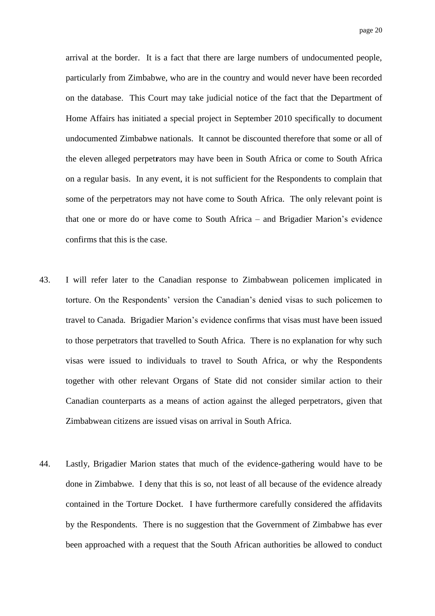arrival at the border. It is a fact that there are large numbers of undocumented people, particularly from Zimbabwe, who are in the country and would never have been recorded on the database. This Court may take judicial notice of the fact that the Department of Home Affairs has initiated a special project in September 2010 specifically to document undocumented Zimbabwe nationals. It cannot be discounted therefore that some or all of the eleven alleged perpet**r**ators may have been in South Africa or come to South Africa on a regular basis. In any event, it is not sufficient for the Respondents to complain that some of the perpetrators may not have come to South Africa. The only relevant point is that one or more do or have come to South Africa – and Brigadier Marion"s evidence confirms that this is the case.

- 43. I will refer later to the Canadian response to Zimbabwean policemen implicated in torture. On the Respondents" version the Canadian"s denied visas to such policemen to travel to Canada. Brigadier Marion"s evidence confirms that visas must have been issued to those perpetrators that travelled to South Africa. There is no explanation for why such visas were issued to individuals to travel to South Africa, or why the Respondents together with other relevant Organs of State did not consider similar action to their Canadian counterparts as a means of action against the alleged perpetrators, given that Zimbabwean citizens are issued visas on arrival in South Africa.
- 44. Lastly, Brigadier Marion states that much of the evidence-gathering would have to be done in Zimbabwe. I deny that this is so, not least of all because of the evidence already contained in the Torture Docket. I have furthermore carefully considered the affidavits by the Respondents. There is no suggestion that the Government of Zimbabwe has ever been approached with a request that the South African authorities be allowed to conduct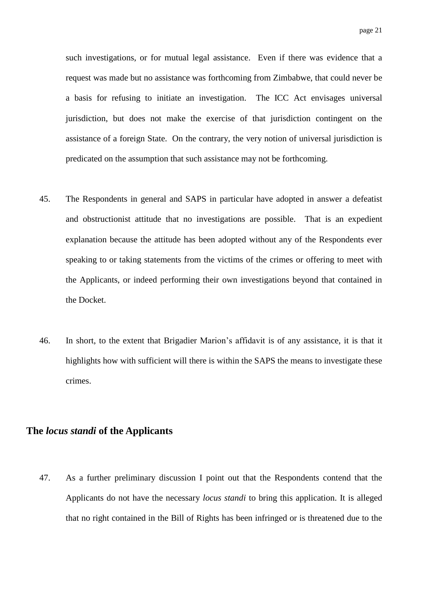such investigations, or for mutual legal assistance. Even if there was evidence that a request was made but no assistance was forthcoming from Zimbabwe, that could never be a basis for refusing to initiate an investigation. The ICC Act envisages universal jurisdiction, but does not make the exercise of that jurisdiction contingent on the assistance of a foreign State. On the contrary, the very notion of universal jurisdiction is predicated on the assumption that such assistance may not be forthcoming.

- 45. The Respondents in general and SAPS in particular have adopted in answer a defeatist and obstructionist attitude that no investigations are possible. That is an expedient explanation because the attitude has been adopted without any of the Respondents ever speaking to or taking statements from the victims of the crimes or offering to meet with the Applicants, or indeed performing their own investigations beyond that contained in the Docket.
- 46. In short, to the extent that Brigadier Marion"s affidavit is of any assistance, it is that it highlights how with sufficient will there is within the SAPS the means to investigate these crimes.

#### <span id="page-20-0"></span>**The** *locus standi* **of the Applicants**

47. As a further preliminary discussion I point out that the Respondents contend that the Applicants do not have the necessary *locus standi* to bring this application. It is alleged that no right contained in the Bill of Rights has been infringed or is threatened due to the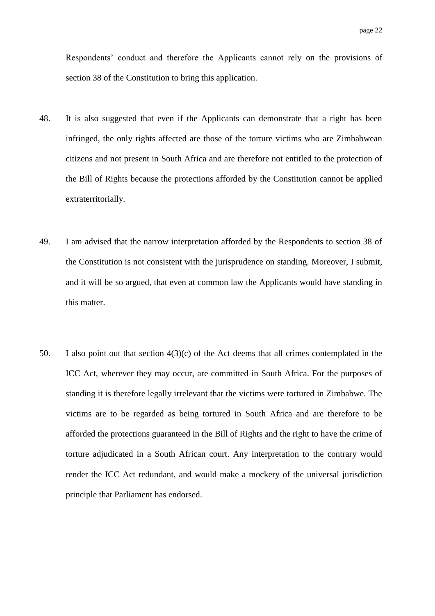Respondents' conduct and therefore the Applicants cannot rely on the provisions of section 38 of the Constitution to bring this application.

- 48. It is also suggested that even if the Applicants can demonstrate that a right has been infringed, the only rights affected are those of the torture victims who are Zimbabwean citizens and not present in South Africa and are therefore not entitled to the protection of the Bill of Rights because the protections afforded by the Constitution cannot be applied extraterritorially.
- 49. I am advised that the narrow interpretation afforded by the Respondents to section 38 of the Constitution is not consistent with the jurisprudence on standing. Moreover, I submit, and it will be so argued, that even at common law the Applicants would have standing in this matter.
- 50. I also point out that section 4(3)(c) of the Act deems that all crimes contemplated in the ICC Act, wherever they may occur, are committed in South Africa. For the purposes of standing it is therefore legally irrelevant that the victims were tortured in Zimbabwe. The victims are to be regarded as being tortured in South Africa and are therefore to be afforded the protections guaranteed in the Bill of Rights and the right to have the crime of torture adjudicated in a South African court. Any interpretation to the contrary would render the ICC Act redundant, and would make a mockery of the universal jurisdiction principle that Parliament has endorsed.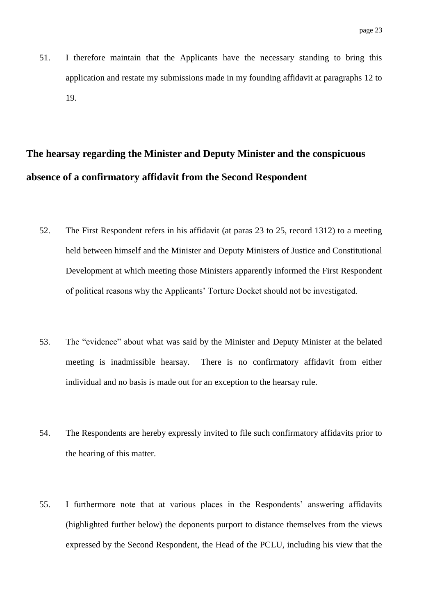51. I therefore maintain that the Applicants have the necessary standing to bring this application and restate my submissions made in my founding affidavit at paragraphs 12 to 19.

### <span id="page-22-0"></span>**The hearsay regarding the Minister and Deputy Minister and the conspicuous absence of a confirmatory affidavit from the Second Respondent**

- 52. The First Respondent refers in his affidavit (at paras 23 to 25, record 1312) to a meeting held between himself and the Minister and Deputy Ministers of Justice and Constitutional Development at which meeting those Ministers apparently informed the First Respondent of political reasons why the Applicants" Torture Docket should not be investigated.
- 53. The "evidence" about what was said by the Minister and Deputy Minister at the belated meeting is inadmissible hearsay. There is no confirmatory affidavit from either individual and no basis is made out for an exception to the hearsay rule.
- 54. The Respondents are hereby expressly invited to file such confirmatory affidavits prior to the hearing of this matter.
- 55. I furthermore note that at various places in the Respondents" answering affidavits (highlighted further below) the deponents purport to distance themselves from the views expressed by the Second Respondent, the Head of the PCLU, including his view that the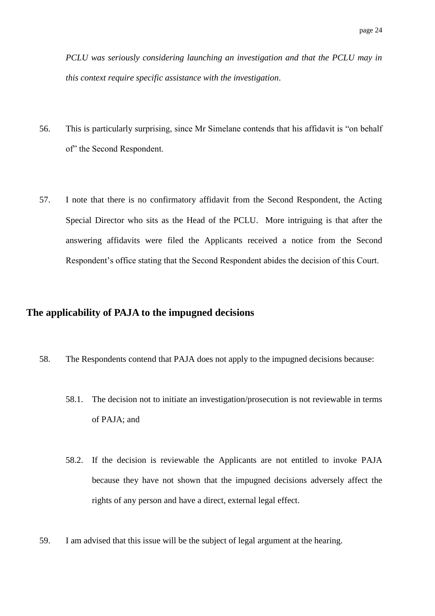*PCLU was seriously considering launching an investigation and that the PCLU may in this context require specific assistance with the investigation*.

- 56. This is particularly surprising, since Mr Simelane contends that his affidavit is "on behalf of" the Second Respondent.
- 57. I note that there is no confirmatory affidavit from the Second Respondent, the Acting Special Director who sits as the Head of the PCLU. More intriguing is that after the answering affidavits were filed the Applicants received a notice from the Second Respondent's office stating that the Second Respondent abides the decision of this Court.

#### <span id="page-23-0"></span>**The applicability of PAJA to the impugned decisions**

- 58. The Respondents contend that PAJA does not apply to the impugned decisions because:
	- 58.1. The decision not to initiate an investigation/prosecution is not reviewable in terms of PAJA; and
	- 58.2. If the decision is reviewable the Applicants are not entitled to invoke PAJA because they have not shown that the impugned decisions adversely affect the rights of any person and have a direct, external legal effect.
- 59. I am advised that this issue will be the subject of legal argument at the hearing.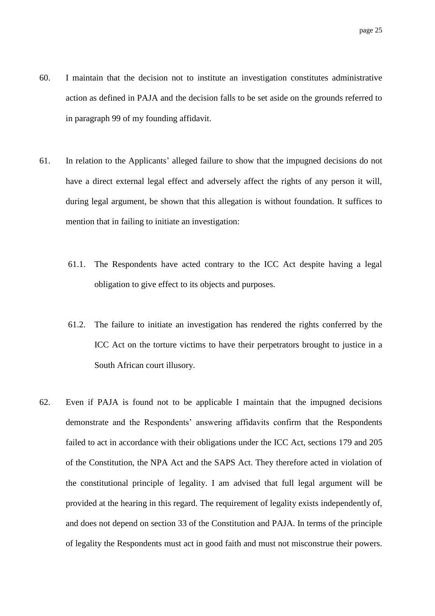- 60. I maintain that the decision not to institute an investigation constitutes administrative action as defined in PAJA and the decision falls to be set aside on the grounds referred to in paragraph 99 of my founding affidavit.
- 61. In relation to the Applicants" alleged failure to show that the impugned decisions do not have a direct external legal effect and adversely affect the rights of any person it will, during legal argument, be shown that this allegation is without foundation. It suffices to mention that in failing to initiate an investigation:
	- 61.1. The Respondents have acted contrary to the ICC Act despite having a legal obligation to give effect to its objects and purposes.
	- 61.2. The failure to initiate an investigation has rendered the rights conferred by the ICC Act on the torture victims to have their perpetrators brought to justice in a South African court illusory.
- 62. Even if PAJA is found not to be applicable I maintain that the impugned decisions demonstrate and the Respondents" answering affidavits confirm that the Respondents failed to act in accordance with their obligations under the ICC Act, sections 179 and 205 of the Constitution, the NPA Act and the SAPS Act. They therefore acted in violation of the constitutional principle of legality. I am advised that full legal argument will be provided at the hearing in this regard. The requirement of legality exists independently of, and does not depend on section 33 of the Constitution and PAJA. In terms of the principle of legality the Respondents must act in good faith and must not misconstrue their powers.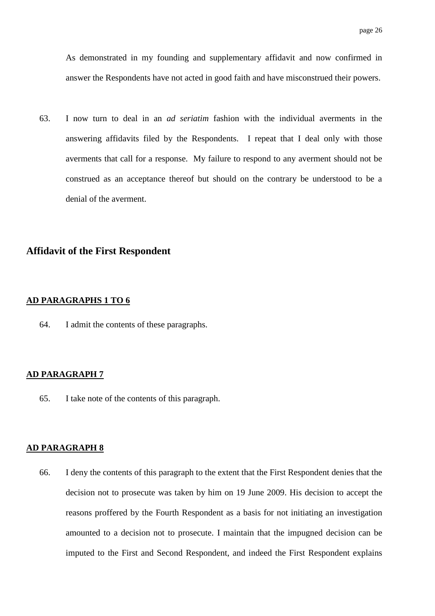As demonstrated in my founding and supplementary affidavit and now confirmed in answer the Respondents have not acted in good faith and have misconstrued their powers.

63. I now turn to deal in an *ad seriatim* fashion with the individual averments in the answering affidavits filed by the Respondents. I repeat that I deal only with those averments that call for a response. My failure to respond to any averment should not be construed as an acceptance thereof but should on the contrary be understood to be a denial of the averment.

#### <span id="page-25-0"></span>**Affidavit of the First Respondent**

#### **AD PARAGRAPHS 1 TO 6**

64. I admit the contents of these paragraphs.

#### **AD PARAGRAPH 7**

65. I take note of the contents of this paragraph.

#### **AD PARAGRAPH 8**

66. I deny the contents of this paragraph to the extent that the First Respondent denies that the decision not to prosecute was taken by him on 19 June 2009. His decision to accept the reasons proffered by the Fourth Respondent as a basis for not initiating an investigation amounted to a decision not to prosecute. I maintain that the impugned decision can be imputed to the First and Second Respondent, and indeed the First Respondent explains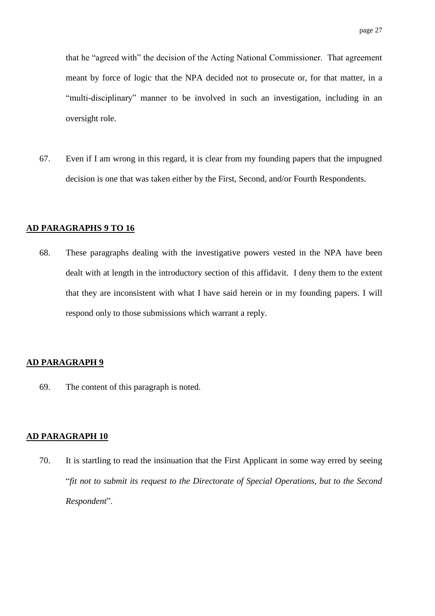that he "agreed with" the decision of the Acting National Commissioner. That agreement meant by force of logic that the NPA decided not to prosecute or, for that matter, in a "multi-disciplinary" manner to be involved in such an investigation, including in an oversight role.

67. Even if I am wrong in this regard, it is clear from my founding papers that the impugned decision is one that was taken either by the First, Second, and/or Fourth Respondents.

#### **AD PARAGRAPHS 9 TO 16**

68. These paragraphs dealing with the investigative powers vested in the NPA have been dealt with at length in the introductory section of this affidavit. I deny them to the extent that they are inconsistent with what I have said herein or in my founding papers. I will respond only to those submissions which warrant a reply.

#### **AD PARAGRAPH 9**

69. The content of this paragraph is noted.

#### **AD PARAGRAPH 10**

70. It is startling to read the insinuation that the First Applicant in some way erred by seeing "*fit not to submit its request to the Directorate of Special Operations, but to the Second Respondent*".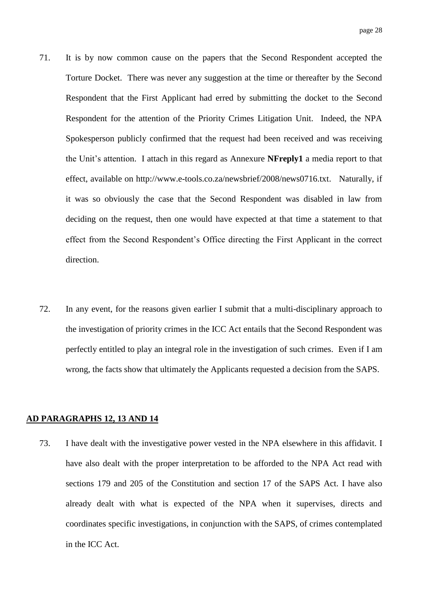- 71. It is by now common cause on the papers that the Second Respondent accepted the Torture Docket. There was never any suggestion at the time or thereafter by the Second Respondent that the First Applicant had erred by submitting the docket to the Second Respondent for the attention of the Priority Crimes Litigation Unit. Indeed, the NPA Spokesperson publicly confirmed that the request had been received and was receiving the Unit"s attention. I attach in this regard as Annexure **NFreply1** a media report to that effect, available on http://www.e-tools.co.za/newsbrief/2008/news0716.txt. Naturally, if it was so obviously the case that the Second Respondent was disabled in law from deciding on the request, then one would have expected at that time a statement to that effect from the Second Respondent"s Office directing the First Applicant in the correct direction.
- 72. In any event, for the reasons given earlier I submit that a multi-disciplinary approach to the investigation of priority crimes in the ICC Act entails that the Second Respondent was perfectly entitled to play an integral role in the investigation of such crimes. Even if I am wrong, the facts show that ultimately the Applicants requested a decision from the SAPS.

#### **AD PARAGRAPHS 12, 13 AND 14**

73. I have dealt with the investigative power vested in the NPA elsewhere in this affidavit. I have also dealt with the proper interpretation to be afforded to the NPA Act read with sections 179 and 205 of the Constitution and section 17 of the SAPS Act. I have also already dealt with what is expected of the NPA when it supervises, directs and coordinates specific investigations, in conjunction with the SAPS, of crimes contemplated in the ICC Act.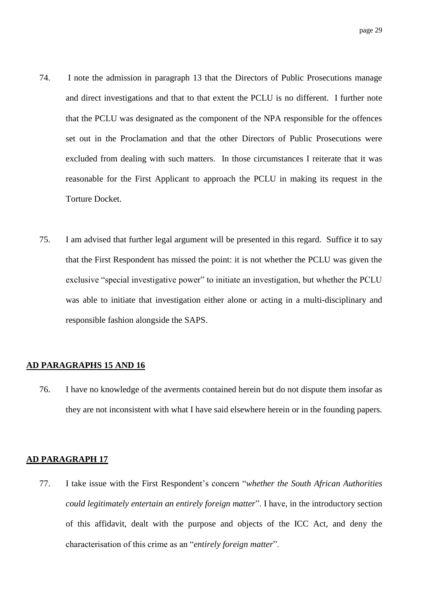- 74. I note the admission in paragraph 13 that the Directors of Public Prosecutions manage and direct investigations and that to that extent the PCLU is no different. I further note that the PCLU was designated as the component of the NPA responsible for the offences set out in the Proclamation and that the other Directors of Public Prosecutions were excluded from dealing with such matters. In those circumstances I reiterate that it was reasonable for the First Applicant to approach the PCLU in making its request in the Torture Docket.
- 75. I am advised that further legal argument will be presented in this regard. Suffice it to say that the First Respondent has missed the point: it is not whether the PCLU was given the exclusive "special investigative power" to initiate an investigation, but whether the PCLU was able to initiate that investigation either alone or acting in a multi-disciplinary and responsible fashion alongside the SAPS.

#### **AD PARAGRAPHS 15 AND 16**

76. I have no knowledge of the averments contained herein but do not dispute them insofar as they are not inconsistent with what I have said elsewhere herein or in the founding papers.

#### **AD PARAGRAPH 17**

77. I take issue with the First Respondent"s concern "*whether the South African Authorities could legitimately entertain an entirely foreign matter*". I have, in the introductory section of this affidavit, dealt with the purpose and objects of the ICC Act, and deny the characterisation of this crime as an "*entirely foreign matter*".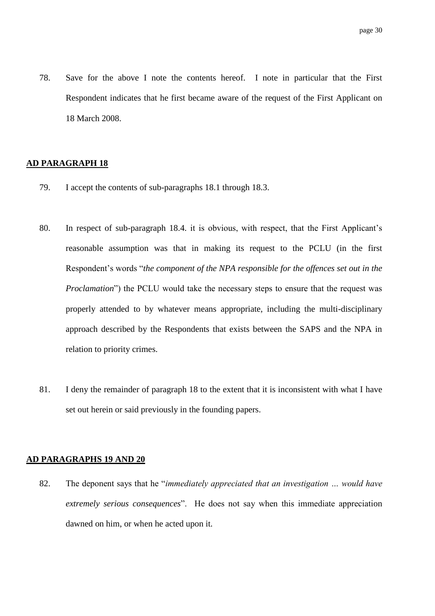78. Save for the above I note the contents hereof. I note in particular that the First Respondent indicates that he first became aware of the request of the First Applicant on 18 March 2008.

#### **AD PARAGRAPH 18**

- 79. I accept the contents of sub-paragraphs 18.1 through 18.3.
- 80. In respect of sub-paragraph 18.4. it is obvious, with respect, that the First Applicant"s reasonable assumption was that in making its request to the PCLU (in the first Respondent"s words "*the component of the NPA responsible for the offences set out in the Proclamation*") the PCLU would take the necessary steps to ensure that the request was properly attended to by whatever means appropriate, including the multi-disciplinary approach described by the Respondents that exists between the SAPS and the NPA in relation to priority crimes.
- 81. I deny the remainder of paragraph 18 to the extent that it is inconsistent with what I have set out herein or said previously in the founding papers.

#### **AD PARAGRAPHS 19 AND 20**

82. The deponent says that he "*immediately appreciated that an investigation … would have extremely serious consequences*". He does not say when this immediate appreciation dawned on him, or when he acted upon it.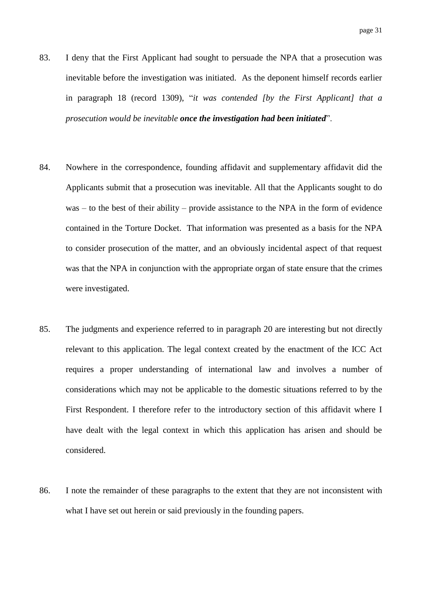- 83. I deny that the First Applicant had sought to persuade the NPA that a prosecution was inevitable before the investigation was initiated. As the deponent himself records earlier in paragraph 18 (record 1309), "*it was contended [by the First Applicant] that a prosecution would be inevitable once the investigation had been initiated*".
- 84. Nowhere in the correspondence, founding affidavit and supplementary affidavit did the Applicants submit that a prosecution was inevitable. All that the Applicants sought to do was – to the best of their ability – provide assistance to the NPA in the form of evidence contained in the Torture Docket. That information was presented as a basis for the NPA to consider prosecution of the matter, and an obviously incidental aspect of that request was that the NPA in conjunction with the appropriate organ of state ensure that the crimes were investigated.
- 85. The judgments and experience referred to in paragraph 20 are interesting but not directly relevant to this application. The legal context created by the enactment of the ICC Act requires a proper understanding of international law and involves a number of considerations which may not be applicable to the domestic situations referred to by the First Respondent. I therefore refer to the introductory section of this affidavit where I have dealt with the legal context in which this application has arisen and should be considered.
- 86. I note the remainder of these paragraphs to the extent that they are not inconsistent with what I have set out herein or said previously in the founding papers.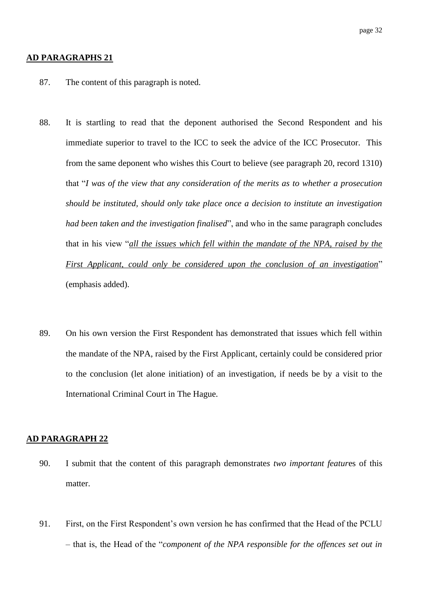#### **AD PARAGRAPHS 21**

- 87. The content of this paragraph is noted.
- 88. It is startling to read that the deponent authorised the Second Respondent and his immediate superior to travel to the ICC to seek the advice of the ICC Prosecutor. This from the same deponent who wishes this Court to believe (see paragraph 20, record 1310) that "*I was of the view that any consideration of the merits as to whether a prosecution should be instituted, should only take place once a decision to institute an investigation had been taken and the investigation finalised*", and who in the same paragraph concludes that in his view "*all the issues which fell within the mandate of the NPA, raised by the First Applicant, could only be considered upon the conclusion of an investigation*" (emphasis added).
- 89. On his own version the First Respondent has demonstrated that issues which fell within the mandate of the NPA, raised by the First Applicant, certainly could be considered prior to the conclusion (let alone initiation) of an investigation, if needs be by a visit to the International Criminal Court in The Hague.

#### **AD PARAGRAPH 22**

- 90. I submit that the content of this paragraph demonstrate*s two important featur*es of this matter.
- 91. First, on the First Respondent"s own version he has confirmed that the Head of the PCLU – that is, the Head of the "*component of the NPA responsible for the offences set out in*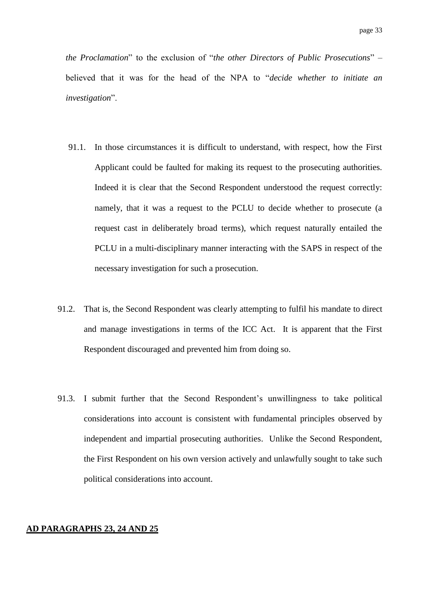*the Proclamation*" to the exclusion of "*the other Directors of Public Prosecutions*" – believed that it was for the head of the NPA to "*decide whether to initiate an investigation*".

- 91.1. In those circumstances it is difficult to understand, with respect, how the First Applicant could be faulted for making its request to the prosecuting authorities. Indeed it is clear that the Second Respondent understood the request correctly: namely, that it was a request to the PCLU to decide whether to prosecute (a request cast in deliberately broad terms), which request naturally entailed the PCLU in a multi-disciplinary manner interacting with the SAPS in respect of the necessary investigation for such a prosecution.
- 91.2. That is, the Second Respondent was clearly attempting to fulfil his mandate to direct and manage investigations in terms of the ICC Act. It is apparent that the First Respondent discouraged and prevented him from doing so.
- 91.3. I submit further that the Second Respondent"s unwillingness to take political considerations into account is consistent with fundamental principles observed by independent and impartial prosecuting authorities. Unlike the Second Respondent, the First Respondent on his own version actively and unlawfully sought to take such political considerations into account.

#### **AD PARAGRAPHS 23, 24 AND 25**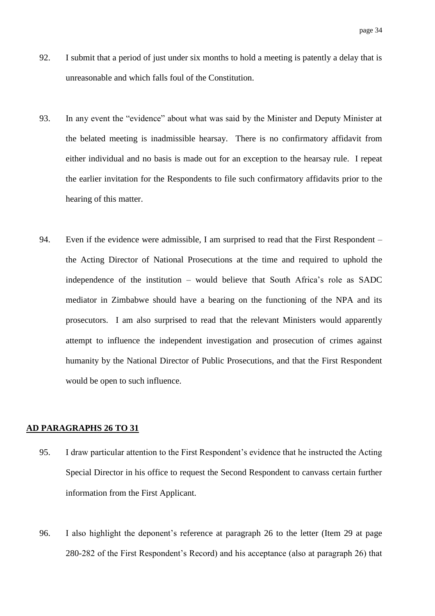- 92. I submit that a period of just under six months to hold a meeting is patently a delay that is unreasonable and which falls foul of the Constitution.
- 93. In any event the "evidence" about what was said by the Minister and Deputy Minister at the belated meeting is inadmissible hearsay. There is no confirmatory affidavit from either individual and no basis is made out for an exception to the hearsay rule. I repeat the earlier invitation for the Respondents to file such confirmatory affidavits prior to the hearing of this matter.
- 94. Even if the evidence were admissible, I am surprised to read that the First Respondent the Acting Director of National Prosecutions at the time and required to uphold the independence of the institution – would believe that South Africa"s role as SADC mediator in Zimbabwe should have a bearing on the functioning of the NPA and its prosecutors. I am also surprised to read that the relevant Ministers would apparently attempt to influence the independent investigation and prosecution of crimes against humanity by the National Director of Public Prosecutions, and that the First Respondent would be open to such influence.

#### **AD PARAGRAPHS 26 TO 31**

- 95. I draw particular attention to the First Respondent"s evidence that he instructed the Acting Special Director in his office to request the Second Respondent to canvass certain further information from the First Applicant.
- 96. I also highlight the deponent"s reference at paragraph 26 to the letter (Item 29 at page 280-282 of the First Respondent"s Record) and his acceptance (also at paragraph 26) that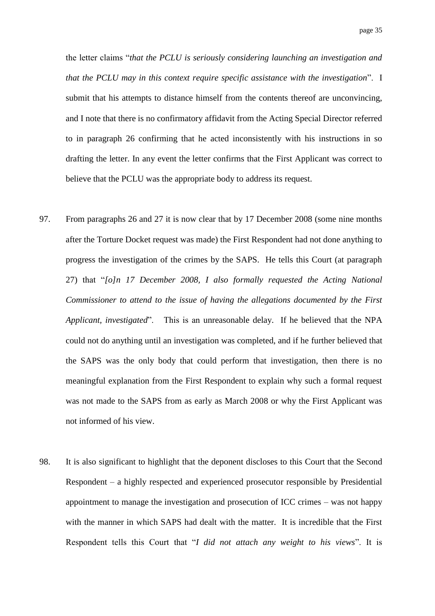the letter claims "*that the PCLU is seriously considering launching an investigation and that the PCLU may in this context require specific assistance with the investigation*". I submit that his attempts to distance himself from the contents thereof are unconvincing, and I note that there is no confirmatory affidavit from the Acting Special Director referred to in paragraph 26 confirming that he acted inconsistently with his instructions in so drafting the letter. In any event the letter confirms that the First Applicant was correct to believe that the PCLU was the appropriate body to address its request.

- 97. From paragraphs 26 and 27 it is now clear that by 17 December 2008 (some nine months after the Torture Docket request was made) the First Respondent had not done anything to progress the investigation of the crimes by the SAPS. He tells this Court (at paragraph 27) that "*[o]n 17 December 2008, I also formally requested the Acting National Commissioner to attend to the issue of having the allegations documented by the First Applicant, investigated*". This is an unreasonable delay. If he believed that the NPA could not do anything until an investigation was completed, and if he further believed that the SAPS was the only body that could perform that investigation, then there is no meaningful explanation from the First Respondent to explain why such a formal request was not made to the SAPS from as early as March 2008 or why the First Applicant was not informed of his view.
- 98. It is also significant to highlight that the deponent discloses to this Court that the Second Respondent – a highly respected and experienced prosecutor responsible by Presidential appointment to manage the investigation and prosecution of ICC crimes – was not happy with the manner in which SAPS had dealt with the matter. It is incredible that the First Respondent tells this Court that "*I did not attach any weight to his views*". It is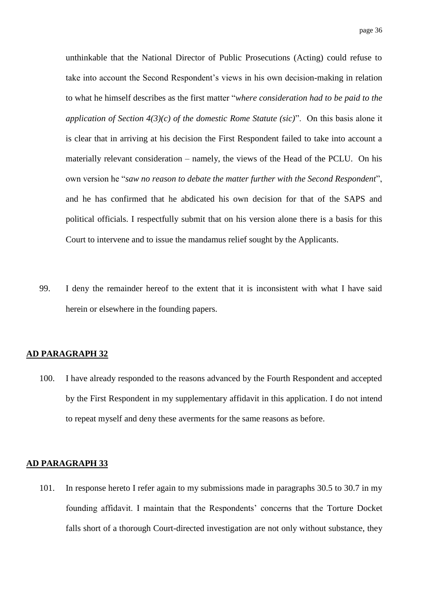unthinkable that the National Director of Public Prosecutions (Acting) could refuse to take into account the Second Respondent"s views in his own decision-making in relation to what he himself describes as the first matter "*where consideration had to be paid to the application of Section 4(3)(c) of the domestic Rome Statute (sic)*". On this basis alone it is clear that in arriving at his decision the First Respondent failed to take into account a materially relevant consideration – namely, the views of the Head of the PCLU. On his own version he "*saw no reason to debate the matter further with the Second Respondent*", and he has confirmed that he abdicated his own decision for that of the SAPS and political officials. I respectfully submit that on his version alone there is a basis for this Court to intervene and to issue the mandamus relief sought by the Applicants.

99. I deny the remainder hereof to the extent that it is inconsistent with what I have said herein or elsewhere in the founding papers.

#### **AD PARAGRAPH 32**

100. I have already responded to the reasons advanced by the Fourth Respondent and accepted by the First Respondent in my supplementary affidavit in this application. I do not intend to repeat myself and deny these averments for the same reasons as before.

#### **AD PARAGRAPH 33**

101. In response hereto I refer again to my submissions made in paragraphs 30.5 to 30.7 in my founding affidavit. I maintain that the Respondents" concerns that the Torture Docket falls short of a thorough Court-directed investigation are not only without substance, they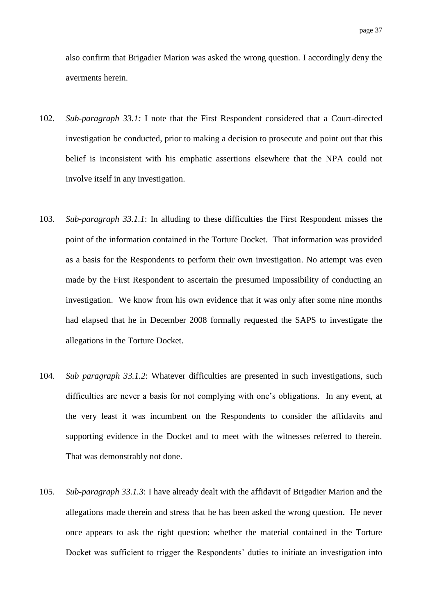also confirm that Brigadier Marion was asked the wrong question. I accordingly deny the averments herein.

- 102. *Sub-paragraph 33.1:* I note that the First Respondent considered that a Court-directed investigation be conducted, prior to making a decision to prosecute and point out that this belief is inconsistent with his emphatic assertions elsewhere that the NPA could not involve itself in any investigation.
- 103. *Sub-paragraph 33.1.1*: In alluding to these difficulties the First Respondent misses the point of the information contained in the Torture Docket. That information was provided as a basis for the Respondents to perform their own investigation. No attempt was even made by the First Respondent to ascertain the presumed impossibility of conducting an investigation. We know from his own evidence that it was only after some nine months had elapsed that he in December 2008 formally requested the SAPS to investigate the allegations in the Torture Docket.
- 104. *Sub paragraph 33.1.2*: Whatever difficulties are presented in such investigations, such difficulties are never a basis for not complying with one"s obligations. In any event, at the very least it was incumbent on the Respondents to consider the affidavits and supporting evidence in the Docket and to meet with the witnesses referred to therein. That was demonstrably not done.
- 105. *Sub-paragraph 33.1.3*: I have already dealt with the affidavit of Brigadier Marion and the allegations made therein and stress that he has been asked the wrong question. He never once appears to ask the right question: whether the material contained in the Torture Docket was sufficient to trigger the Respondents' duties to initiate an investigation into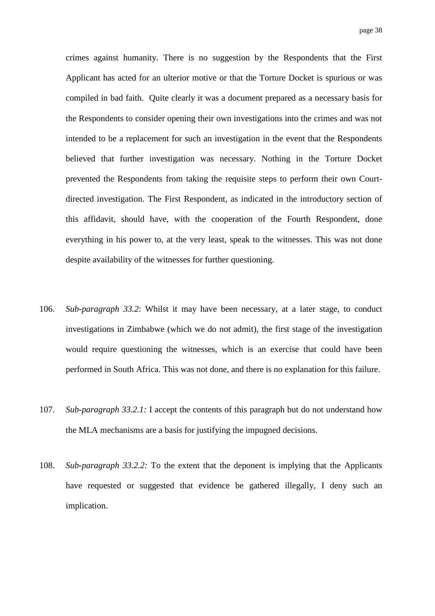crimes against humanity. There is no suggestion by the Respondents that the First Applicant has acted for an ulterior motive or that the Torture Docket is spurious or was compiled in bad faith. Quite clearly it was a document prepared as a necessary basis for the Respondents to consider opening their own investigations into the crimes and was not intended to be a replacement for such an investigation in the event that the Respondents believed that further investigation was necessary. Nothing in the Torture Docket prevented the Respondents from taking the requisite steps to perform their own Courtdirected investigation. The First Respondent, as indicated in the introductory section of this affidavit, should have, with the cooperation of the Fourth Respondent, done everything in his power to, at the very least, speak to the witnesses. This was not done despite availability of the witnesses for further questioning.

- 106. *Sub-paragraph 33.2*: Whilst it may have been necessary, at a later stage, to conduct investigations in Zimbabwe (which we do not admit), the first stage of the investigation would require questioning the witnesses, which is an exercise that could have been performed in South Africa. This was not done, and there is no explanation for this failure.
- 107. *Sub-paragraph 33.2.1:* I accept the contents of this paragraph but do not understand how the MLA mechanisms are a basis for justifying the impugned decisions.
- 108. *Sub-paragraph 33.2.2:* To the extent that the deponent is implying that the Applicants have requested or suggested that evidence be gathered illegally, I deny such an implication.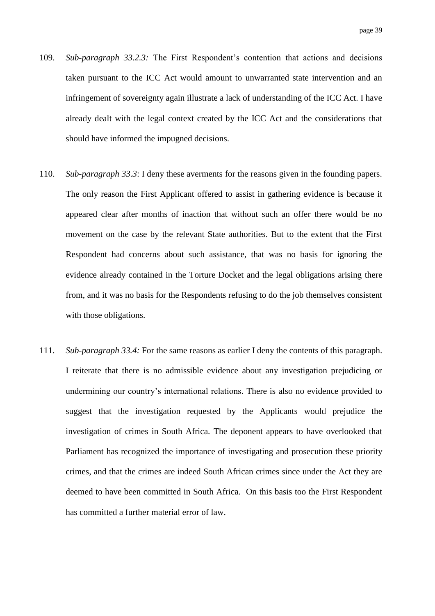- 109. *Sub-paragraph 33.2.3:* The First Respondent"s contention that actions and decisions taken pursuant to the ICC Act would amount to unwarranted state intervention and an infringement of sovereignty again illustrate a lack of understanding of the ICC Act. I have already dealt with the legal context created by the ICC Act and the considerations that should have informed the impugned decisions.
- 110. *Sub-paragraph 33.3*: I deny these averments for the reasons given in the founding papers. The only reason the First Applicant offered to assist in gathering evidence is because it appeared clear after months of inaction that without such an offer there would be no movement on the case by the relevant State authorities. But to the extent that the First Respondent had concerns about such assistance, that was no basis for ignoring the evidence already contained in the Torture Docket and the legal obligations arising there from, and it was no basis for the Respondents refusing to do the job themselves consistent with those obligations.
- 111. *Sub-paragraph 33.4:* For the same reasons as earlier I deny the contents of this paragraph. I reiterate that there is no admissible evidence about any investigation prejudicing or undermining our country"s international relations. There is also no evidence provided to suggest that the investigation requested by the Applicants would prejudice the investigation of crimes in South Africa. The deponent appears to have overlooked that Parliament has recognized the importance of investigating and prosecution these priority crimes, and that the crimes are indeed South African crimes since under the Act they are deemed to have been committed in South Africa. On this basis too the First Respondent has committed a further material error of law.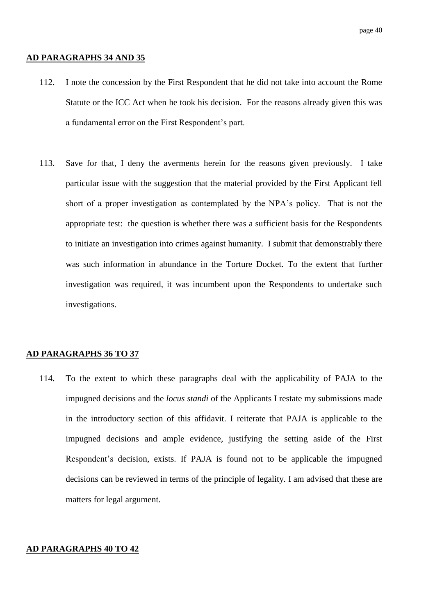#### **AD PARAGRAPHS 34 AND 35**

- 112. I note the concession by the First Respondent that he did not take into account the Rome Statute or the ICC Act when he took his decision. For the reasons already given this was a fundamental error on the First Respondent"s part.
- 113. Save for that, I deny the averments herein for the reasons given previously. I take particular issue with the suggestion that the material provided by the First Applicant fell short of a proper investigation as contemplated by the NPA"s policy. That is not the appropriate test: the question is whether there was a sufficient basis for the Respondents to initiate an investigation into crimes against humanity. I submit that demonstrably there was such information in abundance in the Torture Docket. To the extent that further investigation was required, it was incumbent upon the Respondents to undertake such investigations.

#### **AD PARAGRAPHS 36 TO 37**

114. To the extent to which these paragraphs deal with the applicability of PAJA to the impugned decisions and the *locus standi* of the Applicants I restate my submissions made in the introductory section of this affidavit. I reiterate that PAJA is applicable to the impugned decisions and ample evidence, justifying the setting aside of the First Respondent's decision, exists. If PAJA is found not to be applicable the impugned decisions can be reviewed in terms of the principle of legality. I am advised that these are matters for legal argument.

# **AD PARAGRAPHS 40 TO 42**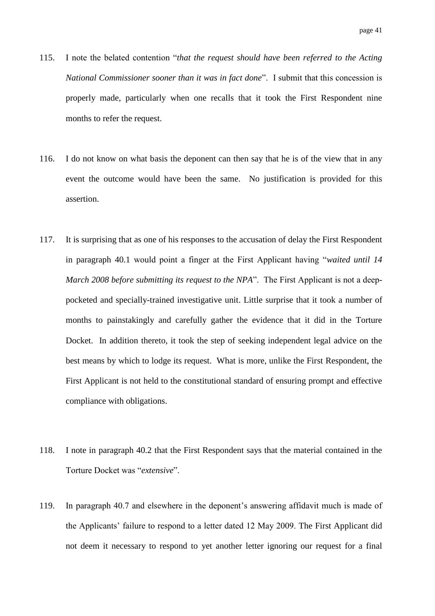- 115. I note the belated contention "*that the request should have been referred to the Acting National Commissioner sooner than it was in fact done*". I submit that this concession is properly made, particularly when one recalls that it took the First Respondent nine months to refer the request.
- 116. I do not know on what basis the deponent can then say that he is of the view that in any event the outcome would have been the same. No justification is provided for this assertion.
- 117. It is surprising that as one of his responses to the accusation of delay the First Respondent in paragraph 40.1 would point a finger at the First Applicant having "*waited until 14 March 2008 before submitting its request to the NPA*". The First Applicant is not a deeppocketed and specially-trained investigative unit. Little surprise that it took a number of months to painstakingly and carefully gather the evidence that it did in the Torture Docket. In addition thereto, it took the step of seeking independent legal advice on the best means by which to lodge its request. What is more, unlike the First Respondent, the First Applicant is not held to the constitutional standard of ensuring prompt and effective compliance with obligations.
- 118. I note in paragraph 40.2 that the First Respondent says that the material contained in the Torture Docket was "*extensive*".
- 119. In paragraph 40.7 and elsewhere in the deponent"s answering affidavit much is made of the Applicants" failure to respond to a letter dated 12 May 2009. The First Applicant did not deem it necessary to respond to yet another letter ignoring our request for a final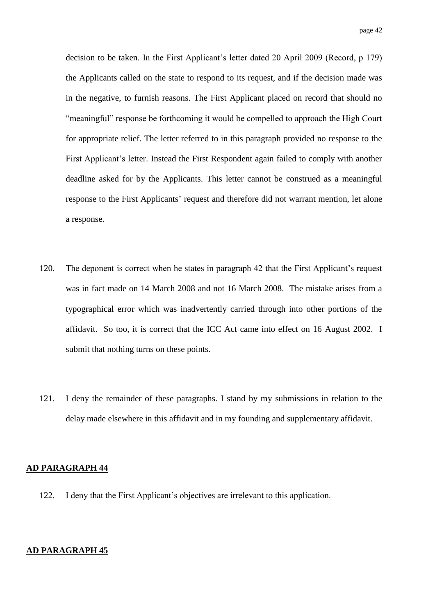decision to be taken. In the First Applicant"s letter dated 20 April 2009 (Record, p 179) the Applicants called on the state to respond to its request, and if the decision made was in the negative, to furnish reasons. The First Applicant placed on record that should no "meaningful" response be forthcoming it would be compelled to approach the High Court for appropriate relief. The letter referred to in this paragraph provided no response to the First Applicant's letter. Instead the First Respondent again failed to comply with another deadline asked for by the Applicants. This letter cannot be construed as a meaningful response to the First Applicants' request and therefore did not warrant mention, let alone a response.

- 120. The deponent is correct when he states in paragraph 42 that the First Applicant's request was in fact made on 14 March 2008 and not 16 March 2008. The mistake arises from a typographical error which was inadvertently carried through into other portions of the affidavit. So too, it is correct that the ICC Act came into effect on 16 August 2002. I submit that nothing turns on these points.
- 121. I deny the remainder of these paragraphs. I stand by my submissions in relation to the delay made elsewhere in this affidavit and in my founding and supplementary affidavit.

## **AD PARAGRAPH 44**

122. I deny that the First Applicant"s objectives are irrelevant to this application.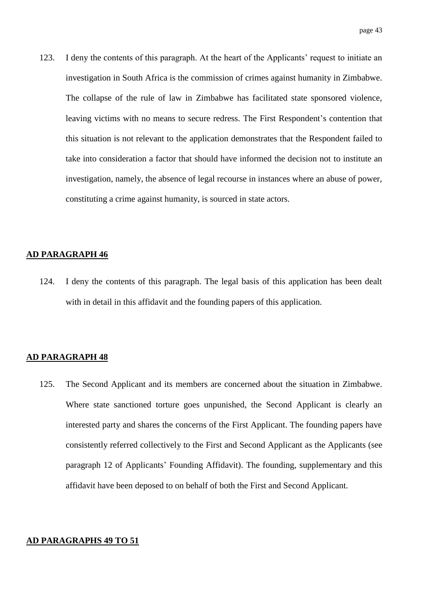123. I deny the contents of this paragraph. At the heart of the Applicants" request to initiate an investigation in South Africa is the commission of crimes against humanity in Zimbabwe. The collapse of the rule of law in Zimbabwe has facilitated state sponsored violence, leaving victims with no means to secure redress. The First Respondent's contention that this situation is not relevant to the application demonstrates that the Respondent failed to take into consideration a factor that should have informed the decision not to institute an investigation, namely, the absence of legal recourse in instances where an abuse of power, constituting a crime against humanity, is sourced in state actors.

# **AD PARAGRAPH 46**

124. I deny the contents of this paragraph. The legal basis of this application has been dealt with in detail in this affidavit and the founding papers of this application.

## **AD PARAGRAPH 48**

125. The Second Applicant and its members are concerned about the situation in Zimbabwe. Where state sanctioned torture goes unpunished, the Second Applicant is clearly an interested party and shares the concerns of the First Applicant. The founding papers have consistently referred collectively to the First and Second Applicant as the Applicants (see paragraph 12 of Applicants' Founding Affidavit). The founding, supplementary and this affidavit have been deposed to on behalf of both the First and Second Applicant.

## **AD PARAGRAPHS 49 TO 51**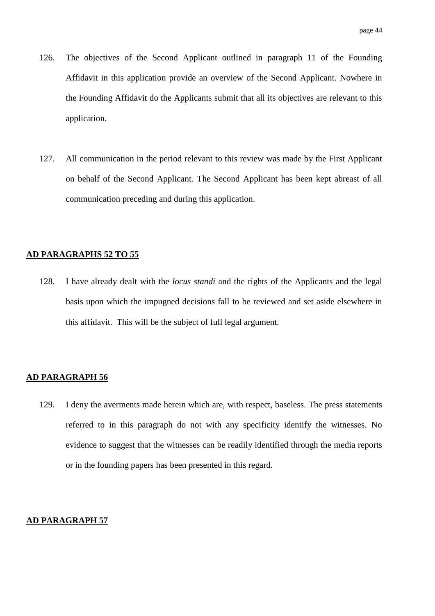- 126. The objectives of the Second Applicant outlined in paragraph 11 of the Founding Affidavit in this application provide an overview of the Second Applicant. Nowhere in the Founding Affidavit do the Applicants submit that all its objectives are relevant to this application.
- 127. All communication in the period relevant to this review was made by the First Applicant on behalf of the Second Applicant. The Second Applicant has been kept abreast of all communication preceding and during this application.

# **AD PARAGRAPHS 52 TO 55**

128. I have already dealt with the *locus standi* and the rights of the Applicants and the legal basis upon which the impugned decisions fall to be reviewed and set aside elsewhere in this affidavit. This will be the subject of full legal argument.

#### **AD PARAGRAPH 56**

129. I deny the averments made herein which are, with respect, baseless. The press statements referred to in this paragraph do not with any specificity identify the witnesses. No evidence to suggest that the witnesses can be readily identified through the media reports or in the founding papers has been presented in this regard.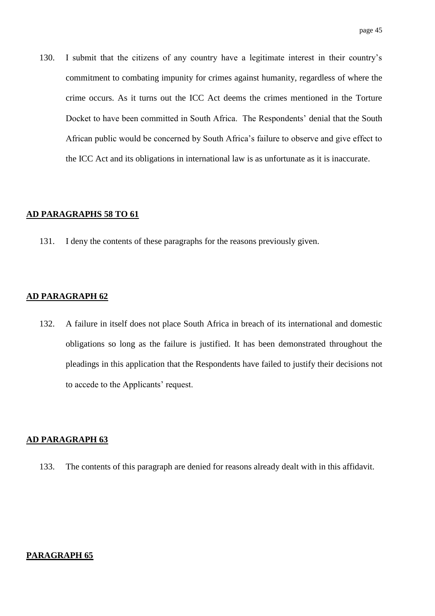130. I submit that the citizens of any country have a legitimate interest in their country"s commitment to combating impunity for crimes against humanity, regardless of where the crime occurs. As it turns out the ICC Act deems the crimes mentioned in the Torture Docket to have been committed in South Africa. The Respondents' denial that the South African public would be concerned by South Africa"s failure to observe and give effect to the ICC Act and its obligations in international law is as unfortunate as it is inaccurate.

## **AD PARAGRAPHS 58 TO 61**

131. I deny the contents of these paragraphs for the reasons previously given.

### **AD PARAGRAPH 62**

132. A failure in itself does not place South Africa in breach of its international and domestic obligations so long as the failure is justified. It has been demonstrated throughout the pleadings in this application that the Respondents have failed to justify their decisions not to accede to the Applicants' request.

### **AD PARAGRAPH 63**

133. The contents of this paragraph are denied for reasons already dealt with in this affidavit.

## **PARAGRAPH 65**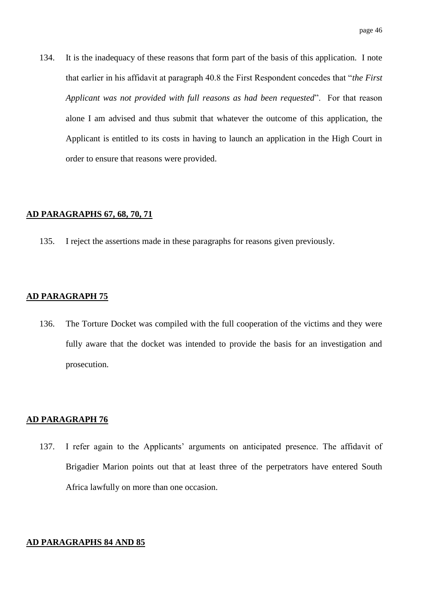134. It is the inadequacy of these reasons that form part of the basis of this application. I note that earlier in his affidavit at paragraph 40.8 the First Respondent concedes that "*the First Applicant was not provided with full reasons as had been requested*". For that reason alone I am advised and thus submit that whatever the outcome of this application, the Applicant is entitled to its costs in having to launch an application in the High Court in order to ensure that reasons were provided.

## **AD PARAGRAPHS 67, 68, 70, 71**

135. I reject the assertions made in these paragraphs for reasons given previously.

## **AD PARAGRAPH 75**

136. The Torture Docket was compiled with the full cooperation of the victims and they were fully aware that the docket was intended to provide the basis for an investigation and prosecution.

# **AD PARAGRAPH 76**

137. I refer again to the Applicants' arguments on anticipated presence. The affidavit of Brigadier Marion points out that at least three of the perpetrators have entered South Africa lawfully on more than one occasion.

### **AD PARAGRAPHS 84 AND 85**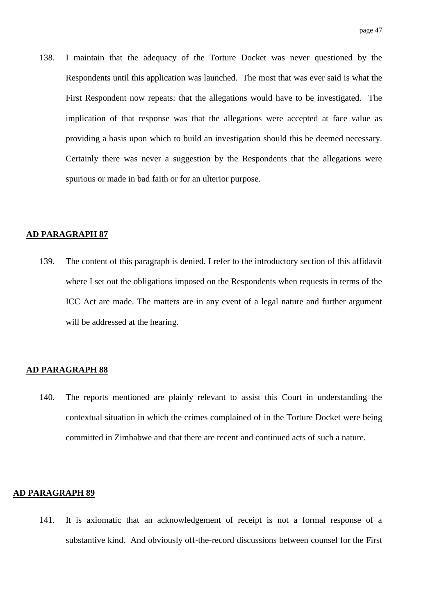138. I maintain that the adequacy of the Torture Docket was never questioned by the Respondents until this application was launched. The most that was ever said is what the First Respondent now repeats: that the allegations would have to be investigated. The implication of that response was that the allegations were accepted at face value as providing a basis upon which to build an investigation should this be deemed necessary. Certainly there was never a suggestion by the Respondents that the allegations were spurious or made in bad faith or for an ulterior purpose.

#### **AD PARAGRAPH 87**

139. The content of this paragraph is denied. I refer to the introductory section of this affidavit where I set out the obligations imposed on the Respondents when requests in terms of the ICC Act are made. The matters are in any event of a legal nature and further argument will be addressed at the hearing.

#### **AD PARAGRAPH 88**

140. The reports mentioned are plainly relevant to assist this Court in understanding the contextual situation in which the crimes complained of in the Torture Docket were being committed in Zimbabwe and that there are recent and continued acts of such a nature.

## **AD PARAGRAPH 89**

141. It is axiomatic that an acknowledgement of receipt is not a formal response of a substantive kind. And obviously off-the-record discussions between counsel for the First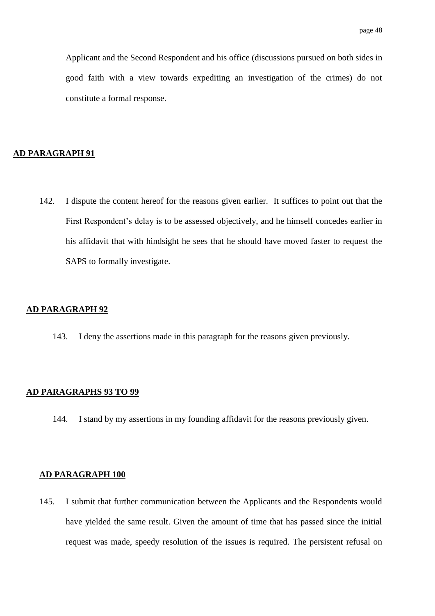Applicant and the Second Respondent and his office (discussions pursued on both sides in good faith with a view towards expediting an investigation of the crimes) do not constitute a formal response.

# **AD PARAGRAPH 91**

142. I dispute the content hereof for the reasons given earlier. It suffices to point out that the First Respondent"s delay is to be assessed objectively, and he himself concedes earlier in his affidavit that with hindsight he sees that he should have moved faster to request the SAPS to formally investigate.

#### **AD PARAGRAPH 92**

143. I deny the assertions made in this paragraph for the reasons given previously.

#### **AD PARAGRAPHS 93 TO 99**

144. I stand by my assertions in my founding affidavit for the reasons previously given.

#### **AD PARAGRAPH 100**

145. I submit that further communication between the Applicants and the Respondents would have yielded the same result. Given the amount of time that has passed since the initial request was made, speedy resolution of the issues is required. The persistent refusal on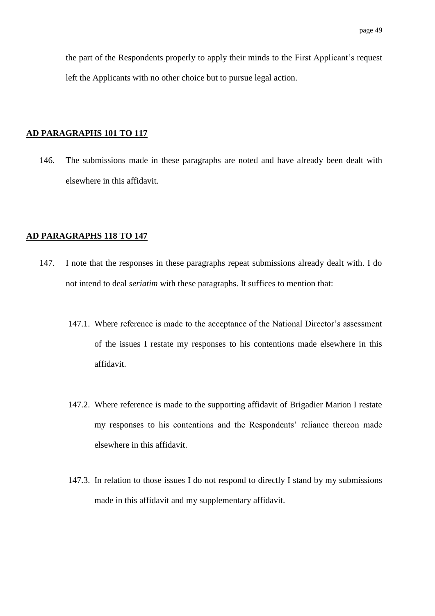the part of the Respondents properly to apply their minds to the First Applicant"s request left the Applicants with no other choice but to pursue legal action.

# **AD PARAGRAPHS 101 TO 117**

146. The submissions made in these paragraphs are noted and have already been dealt with elsewhere in this affidavit.

## **AD PARAGRAPHS 118 TO 147**

- 147. I note that the responses in these paragraphs repeat submissions already dealt with. I do not intend to deal *seriatim* with these paragraphs. It suffices to mention that:
	- 147.1. Where reference is made to the acceptance of the National Director's assessment of the issues I restate my responses to his contentions made elsewhere in this affidavit.
	- 147.2. Where reference is made to the supporting affidavit of Brigadier Marion I restate my responses to his contentions and the Respondents' reliance thereon made elsewhere in this affidavit.
	- 147.3. In relation to those issues I do not respond to directly I stand by my submissions made in this affidavit and my supplementary affidavit.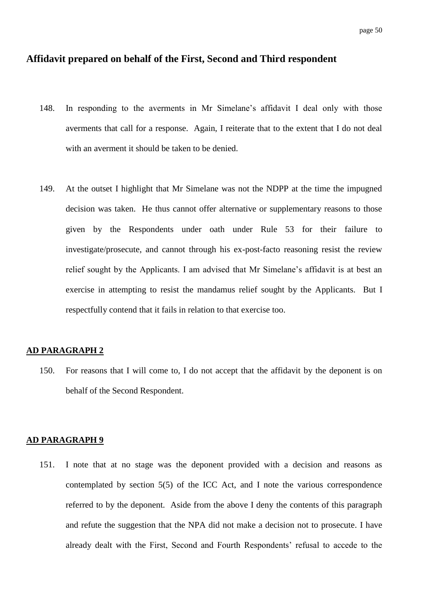# **Affidavit prepared on behalf of the First, Second and Third respondent**

- 148. In responding to the averments in Mr Simelane"s affidavit I deal only with those averments that call for a response. Again, I reiterate that to the extent that I do not deal with an averment it should be taken to be denied.
- 149. At the outset I highlight that Mr Simelane was not the NDPP at the time the impugned decision was taken. He thus cannot offer alternative or supplementary reasons to those given by the Respondents under oath under Rule 53 for their failure to investigate/prosecute, and cannot through his ex-post-facto reasoning resist the review relief sought by the Applicants. I am advised that Mr Simelane"s affidavit is at best an exercise in attempting to resist the mandamus relief sought by the Applicants. But I respectfully contend that it fails in relation to that exercise too.

# **AD PARAGRAPH 2**

150. For reasons that I will come to, I do not accept that the affidavit by the deponent is on behalf of the Second Respondent.

## **AD PARAGRAPH 9**

151. I note that at no stage was the deponent provided with a decision and reasons as contemplated by section 5(5) of the ICC Act, and I note the various correspondence referred to by the deponent. Aside from the above I deny the contents of this paragraph and refute the suggestion that the NPA did not make a decision not to prosecute. I have already dealt with the First, Second and Fourth Respondents" refusal to accede to the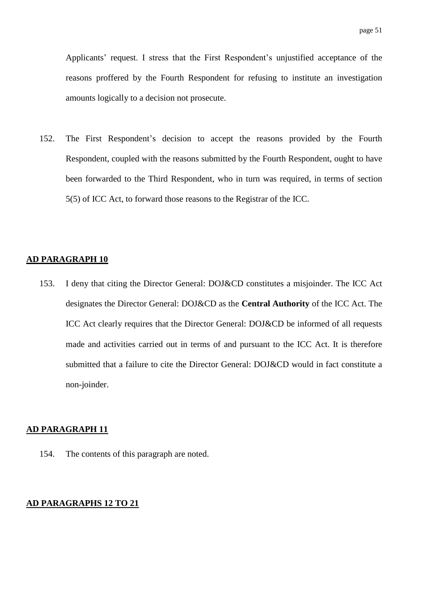Applicants' request. I stress that the First Respondent's unjustified acceptance of the reasons proffered by the Fourth Respondent for refusing to institute an investigation amounts logically to a decision not prosecute.

152. The First Respondent"s decision to accept the reasons provided by the Fourth Respondent, coupled with the reasons submitted by the Fourth Respondent, ought to have been forwarded to the Third Respondent, who in turn was required, in terms of section 5(5) of ICC Act, to forward those reasons to the Registrar of the ICC.

### **AD PARAGRAPH 10**

153. I deny that citing the Director General: DOJ&CD constitutes a misjoinder. The ICC Act designates the Director General: DOJ&CD as the **Central Authority** of the ICC Act. The ICC Act clearly requires that the Director General: DOJ&CD be informed of all requests made and activities carried out in terms of and pursuant to the ICC Act. It is therefore submitted that a failure to cite the Director General: DOJ&CD would in fact constitute a non-joinder.

## **AD PARAGRAPH 11**

154. The contents of this paragraph are noted.

# **AD PARAGRAPHS 12 TO 21**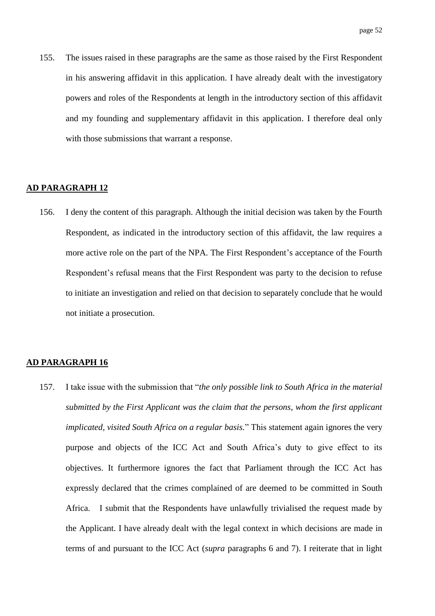155. The issues raised in these paragraphs are the same as those raised by the First Respondent in his answering affidavit in this application. I have already dealt with the investigatory powers and roles of the Respondents at length in the introductory section of this affidavit and my founding and supplementary affidavit in this application. I therefore deal only with those submissions that warrant a response.

#### **AD PARAGRAPH 12**

156. I deny the content of this paragraph. Although the initial decision was taken by the Fourth Respondent, as indicated in the introductory section of this affidavit, the law requires a more active role on the part of the NPA. The First Respondent's acceptance of the Fourth Respondent"s refusal means that the First Respondent was party to the decision to refuse to initiate an investigation and relied on that decision to separately conclude that he would not initiate a prosecution.

## **AD PARAGRAPH 16**

157. I take issue with the submission that "*the only possible link to South Africa in the material submitted by the First Applicant was the claim that the persons, whom the first applicant implicated, visited South Africa on a regular basis.*" This statement again ignores the very purpose and objects of the ICC Act and South Africa"s duty to give effect to its objectives. It furthermore ignores the fact that Parliament through the ICC Act has expressly declared that the crimes complained of are deemed to be committed in South Africa. I submit that the Respondents have unlawfully trivialised the request made by the Applicant. I have already dealt with the legal context in which decisions are made in terms of and pursuant to the ICC Act (*supra* paragraphs 6 and 7). I reiterate that in light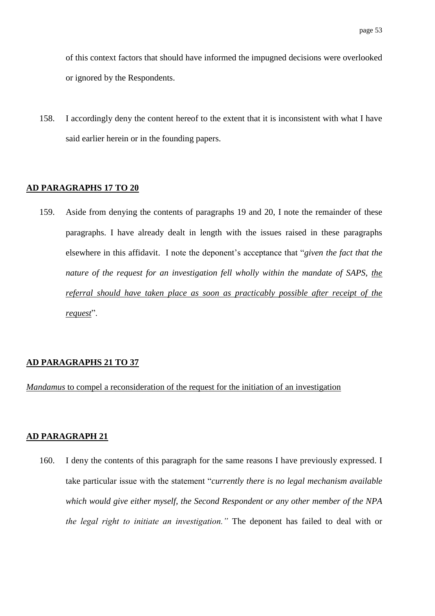of this context factors that should have informed the impugned decisions were overlooked or ignored by the Respondents.

158. I accordingly deny the content hereof to the extent that it is inconsistent with what I have said earlier herein or in the founding papers.

# **AD PARAGRAPHS 17 TO 20**

159. Aside from denying the contents of paragraphs 19 and 20, I note the remainder of these paragraphs. I have already dealt in length with the issues raised in these paragraphs elsewhere in this affidavit. I note the deponent"s acceptance that "*given the fact that the nature of the request for an investigation fell wholly within the mandate of SAPS, the referral should have taken place as soon as practicably possible after receipt of the request*".

## **AD PARAGRAPHS 21 TO 37**

*Mandamus* to compel a reconsideration of the request for the initiation of an investigation

# **AD PARAGRAPH 21**

160. I deny the contents of this paragraph for the same reasons I have previously expressed. I take particular issue with the statement "*currently there is no legal mechanism available which would give either myself, the Second Respondent or any other member of the NPA the legal right to initiate an investigation."* The deponent has failed to deal with or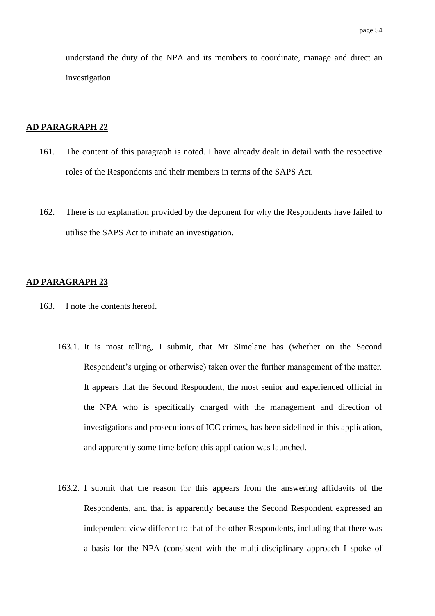understand the duty of the NPA and its members to coordinate, manage and direct an investigation.

## **AD PARAGRAPH 22**

- 161. The content of this paragraph is noted. I have already dealt in detail with the respective roles of the Respondents and their members in terms of the SAPS Act.
- 162. There is no explanation provided by the deponent for why the Respondents have failed to utilise the SAPS Act to initiate an investigation.

- 163. I note the contents hereof.
	- 163.1. It is most telling, I submit, that Mr Simelane has (whether on the Second Respondent's urging or otherwise) taken over the further management of the matter. It appears that the Second Respondent, the most senior and experienced official in the NPA who is specifically charged with the management and direction of investigations and prosecutions of ICC crimes, has been sidelined in this application, and apparently some time before this application was launched.
	- 163.2. I submit that the reason for this appears from the answering affidavits of the Respondents, and that is apparently because the Second Respondent expressed an independent view different to that of the other Respondents, including that there was a basis for the NPA (consistent with the multi-disciplinary approach I spoke of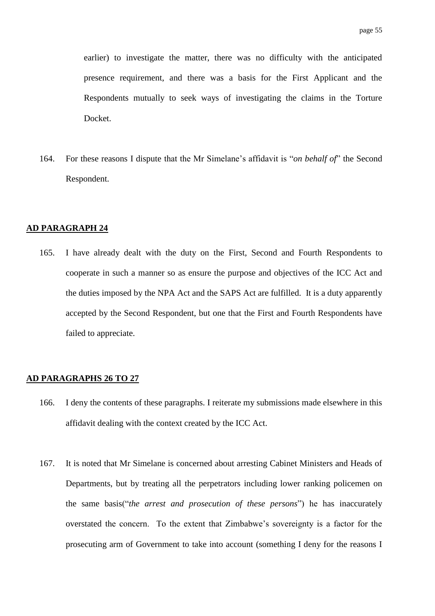earlier) to investigate the matter, there was no difficulty with the anticipated presence requirement, and there was a basis for the First Applicant and the Respondents mutually to seek ways of investigating the claims in the Torture Docket.

164. For these reasons I dispute that the Mr Simelane"s affidavit is "*on behalf of*" the Second Respondent.

# **AD PARAGRAPH 24**

165. I have already dealt with the duty on the First, Second and Fourth Respondents to cooperate in such a manner so as ensure the purpose and objectives of the ICC Act and the duties imposed by the NPA Act and the SAPS Act are fulfilled. It is a duty apparently accepted by the Second Respondent, but one that the First and Fourth Respondents have failed to appreciate.

#### **AD PARAGRAPHS 26 TO 27**

- 166. I deny the contents of these paragraphs. I reiterate my submissions made elsewhere in this affidavit dealing with the context created by the ICC Act.
- 167. It is noted that Mr Simelane is concerned about arresting Cabinet Ministers and Heads of Departments, but by treating all the perpetrators including lower ranking policemen on the same basis("*the arrest and prosecution of these persons*") he has inaccurately overstated the concern. To the extent that Zimbabwe"s sovereignty is a factor for the prosecuting arm of Government to take into account (something I deny for the reasons I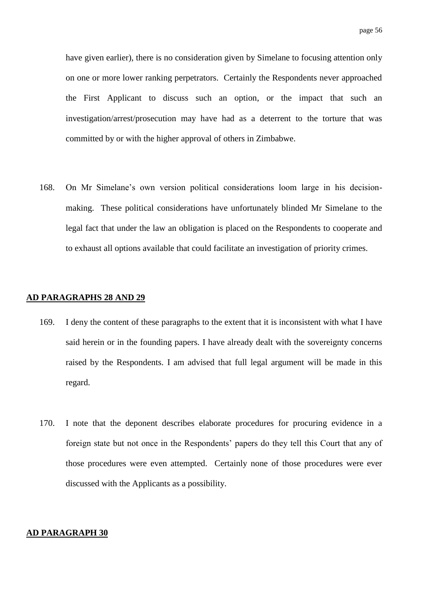have given earlier), there is no consideration given by Simelane to focusing attention only on one or more lower ranking perpetrators. Certainly the Respondents never approached the First Applicant to discuss such an option, or the impact that such an investigation/arrest/prosecution may have had as a deterrent to the torture that was committed by or with the higher approval of others in Zimbabwe.

168. On Mr Simelane"s own version political considerations loom large in his decisionmaking. These political considerations have unfortunately blinded Mr Simelane to the legal fact that under the law an obligation is placed on the Respondents to cooperate and to exhaust all options available that could facilitate an investigation of priority crimes.

# **AD PARAGRAPHS 28 AND 29**

- 169. I deny the content of these paragraphs to the extent that it is inconsistent with what I have said herein or in the founding papers. I have already dealt with the sovereignty concerns raised by the Respondents. I am advised that full legal argument will be made in this regard.
- 170. I note that the deponent describes elaborate procedures for procuring evidence in a foreign state but not once in the Respondents' papers do they tell this Court that any of those procedures were even attempted. Certainly none of those procedures were ever discussed with the Applicants as a possibility.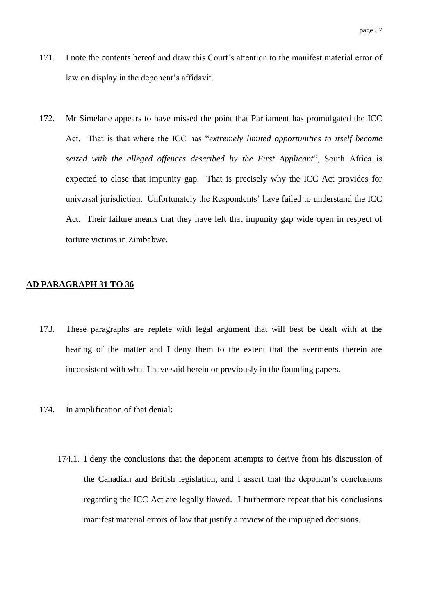- 171. I note the contents hereof and draw this Court"s attention to the manifest material error of law on display in the deponent's affidavit.
- 172. Mr Simelane appears to have missed the point that Parliament has promulgated the ICC Act. That is that where the ICC has "*extremely limited opportunities to itself become seized with the alleged offences described by the First Applicant*", South Africa is expected to close that impunity gap. That is precisely why the ICC Act provides for universal jurisdiction. Unfortunately the Respondents" have failed to understand the ICC Act. Their failure means that they have left that impunity gap wide open in respect of torture victims in Zimbabwe.

# **AD PARAGRAPH 31 TO 36**

- 173. These paragraphs are replete with legal argument that will best be dealt with at the hearing of the matter and I deny them to the extent that the averments therein are inconsistent with what I have said herein or previously in the founding papers.
- 174. In amplification of that denial:
	- 174.1. I deny the conclusions that the deponent attempts to derive from his discussion of the Canadian and British legislation, and I assert that the deponent"s conclusions regarding the ICC Act are legally flawed. I furthermore repeat that his conclusions manifest material errors of law that justify a review of the impugned decisions.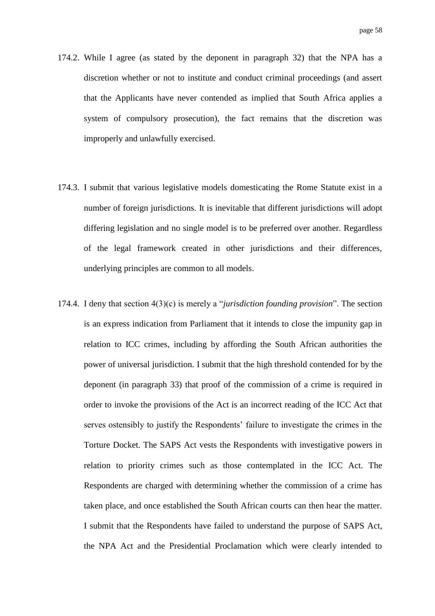- 174.2. While I agree (as stated by the deponent in paragraph 32) that the NPA has a discretion whether or not to institute and conduct criminal proceedings (and assert that the Applicants have never contended as implied that South Africa applies a system of compulsory prosecution), the fact remains that the discretion was improperly and unlawfully exercised.
- 174.3. I submit that various legislative models domesticating the Rome Statute exist in a number of foreign jurisdictions. It is inevitable that different jurisdictions will adopt differing legislation and no single model is to be preferred over another. Regardless of the legal framework created in other jurisdictions and their differences, underlying principles are common to all models.
- 174.4. I deny that section 4(3)(c) is merely a "*jurisdiction founding provision*". The section is an express indication from Parliament that it intends to close the impunity gap in relation to ICC crimes, including by affording the South African authorities the power of universal jurisdiction. I submit that the high threshold contended for by the deponent (in paragraph 33) that proof of the commission of a crime is required in order to invoke the provisions of the Act is an incorrect reading of the ICC Act that serves ostensibly to justify the Respondents' failure to investigate the crimes in the Torture Docket. The SAPS Act vests the Respondents with investigative powers in relation to priority crimes such as those contemplated in the ICC Act. The Respondents are charged with determining whether the commission of a crime has taken place, and once established the South African courts can then hear the matter. I submit that the Respondents have failed to understand the purpose of SAPS Act, the NPA Act and the Presidential Proclamation which were clearly intended to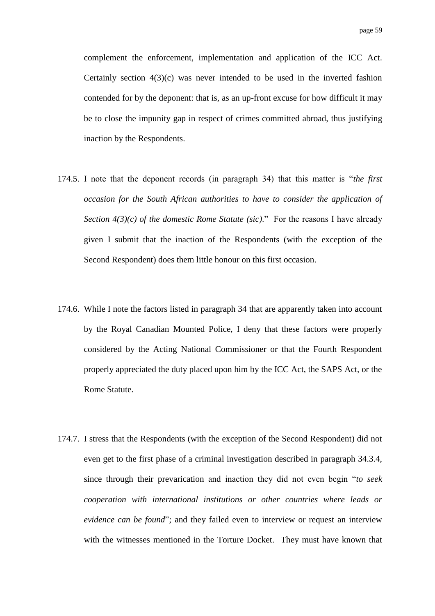complement the enforcement, implementation and application of the ICC Act. Certainly section  $4(3)(c)$  was never intended to be used in the inverted fashion contended for by the deponent: that is, as an up-front excuse for how difficult it may be to close the impunity gap in respect of crimes committed abroad, thus justifying inaction by the Respondents.

- 174.5. I note that the deponent records (in paragraph 34) that this matter is "*the first occasion for the South African authorities to have to consider the application of Section 4(3)(c) of the domestic Rome Statute (sic).*" For the reasons I have already given I submit that the inaction of the Respondents (with the exception of the Second Respondent) does them little honour on this first occasion.
- 174.6. While I note the factors listed in paragraph 34 that are apparently taken into account by the Royal Canadian Mounted Police, I deny that these factors were properly considered by the Acting National Commissioner or that the Fourth Respondent properly appreciated the duty placed upon him by the ICC Act, the SAPS Act, or the Rome Statute.
- 174.7. I stress that the Respondents (with the exception of the Second Respondent) did not even get to the first phase of a criminal investigation described in paragraph 34.3.4, since through their prevarication and inaction they did not even begin "*to seek cooperation with international institutions or other countries where leads or evidence can be found*"; and they failed even to interview or request an interview with the witnesses mentioned in the Torture Docket. They must have known that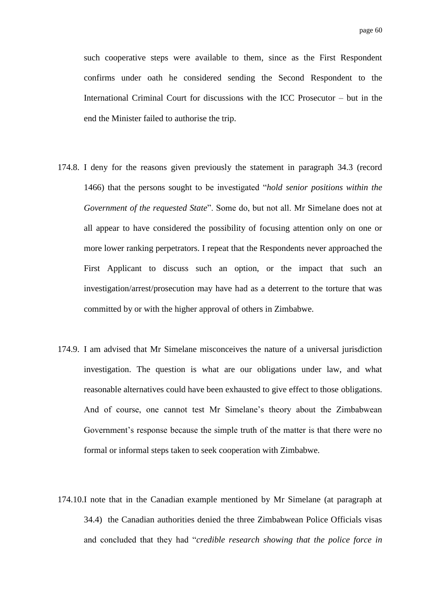such cooperative steps were available to them, since as the First Respondent confirms under oath he considered sending the Second Respondent to the International Criminal Court for discussions with the ICC Prosecutor – but in the end the Minister failed to authorise the trip.

- 174.8. I deny for the reasons given previously the statement in paragraph 34.3 (record 1466) that the persons sought to be investigated "*hold senior positions within the Government of the requested State*". Some do, but not all. Mr Simelane does not at all appear to have considered the possibility of focusing attention only on one or more lower ranking perpetrators. I repeat that the Respondents never approached the First Applicant to discuss such an option, or the impact that such an investigation/arrest/prosecution may have had as a deterrent to the torture that was committed by or with the higher approval of others in Zimbabwe.
- 174.9. I am advised that Mr Simelane misconceives the nature of a universal jurisdiction investigation. The question is what are our obligations under law, and what reasonable alternatives could have been exhausted to give effect to those obligations. And of course, one cannot test Mr Simelane"s theory about the Zimbabwean Government's response because the simple truth of the matter is that there were no formal or informal steps taken to seek cooperation with Zimbabwe.
- 174.10.I note that in the Canadian example mentioned by Mr Simelane (at paragraph at 34.4) the Canadian authorities denied the three Zimbabwean Police Officials visas and concluded that they had "*credible research showing that the police force in*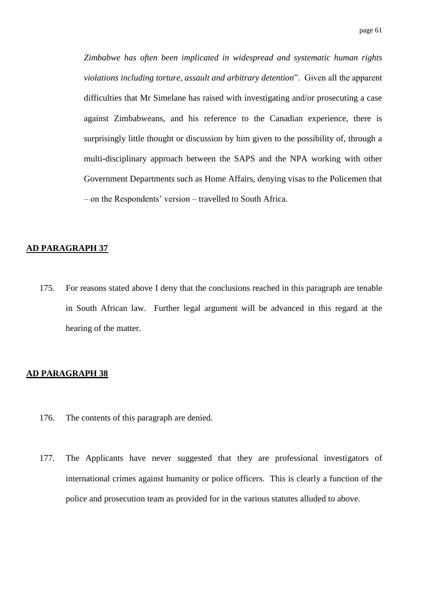*Zimbabwe has often been implicated in widespread and systematic human rights violations including torture, assault and arbitrary detention*". Given all the apparent difficulties that Mr Simelane has raised with investigating and/or prosecuting a case against Zimbabweans, and his reference to the Canadian experience, there is surprisingly little thought or discussion by him given to the possibility of, through a multi-disciplinary approach between the SAPS and the NPA working with other Government Departments such as Home Affairs, denying visas to the Policemen that – on the Respondents" version – travelled to South Africa.

#### **AD PARAGRAPH 37**

175. For reasons stated above I deny that the conclusions reached in this paragraph are tenable in South African law. Further legal argument will be advanced in this regard at the hearing of the matter.

- 176. The contents of this paragraph are denied.
- 177. The Applicants have never suggested that they are professional investigators of international crimes against humanity or police officers. This is clearly a function of the police and prosecution team as provided for in the various statutes alluded to above.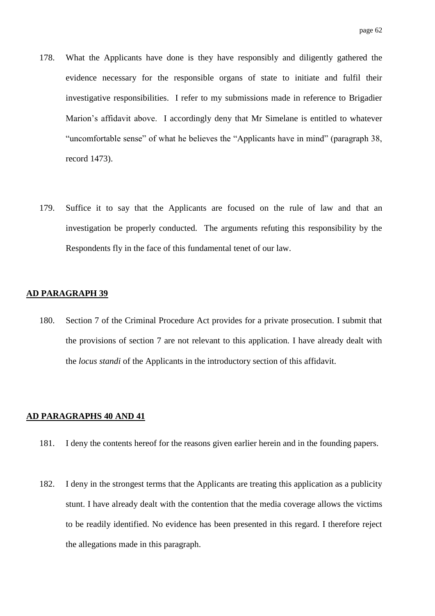- 178. What the Applicants have done is they have responsibly and diligently gathered the evidence necessary for the responsible organs of state to initiate and fulfil their investigative responsibilities. I refer to my submissions made in reference to Brigadier Marion"s affidavit above. I accordingly deny that Mr Simelane is entitled to whatever "uncomfortable sense" of what he believes the "Applicants have in mind" (paragraph 38, record 1473).
- 179. Suffice it to say that the Applicants are focused on the rule of law and that an investigation be properly conducted. The arguments refuting this responsibility by the Respondents fly in the face of this fundamental tenet of our law.

## **AD PARAGRAPH 39**

180. Section 7 of the Criminal Procedure Act provides for a private prosecution. I submit that the provisions of section 7 are not relevant to this application. I have already dealt with the *locus standi* of the Applicants in the introductory section of this affidavit.

#### **AD PARAGRAPHS 40 AND 41**

- 181. I deny the contents hereof for the reasons given earlier herein and in the founding papers.
- 182. I deny in the strongest terms that the Applicants are treating this application as a publicity stunt. I have already dealt with the contention that the media coverage allows the victims to be readily identified. No evidence has been presented in this regard. I therefore reject the allegations made in this paragraph.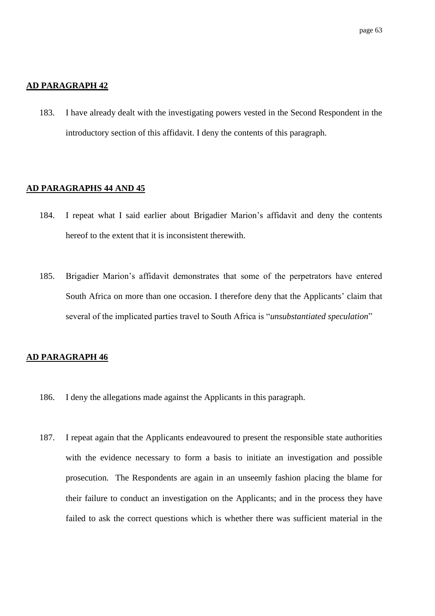## **AD PARAGRAPH 42**

183. I have already dealt with the investigating powers vested in the Second Respondent in the introductory section of this affidavit. I deny the contents of this paragraph.

# **AD PARAGRAPHS 44 AND 45**

- 184. I repeat what I said earlier about Brigadier Marion"s affidavit and deny the contents hereof to the extent that it is inconsistent therewith.
- 185. Brigadier Marion"s affidavit demonstrates that some of the perpetrators have entered South Africa on more than one occasion. I therefore deny that the Applicants' claim that several of the implicated parties travel to South Africa is "*unsubstantiated speculation*"

- 186. I deny the allegations made against the Applicants in this paragraph.
- 187. I repeat again that the Applicants endeavoured to present the responsible state authorities with the evidence necessary to form a basis to initiate an investigation and possible prosecution. The Respondents are again in an unseemly fashion placing the blame for their failure to conduct an investigation on the Applicants; and in the process they have failed to ask the correct questions which is whether there was sufficient material in the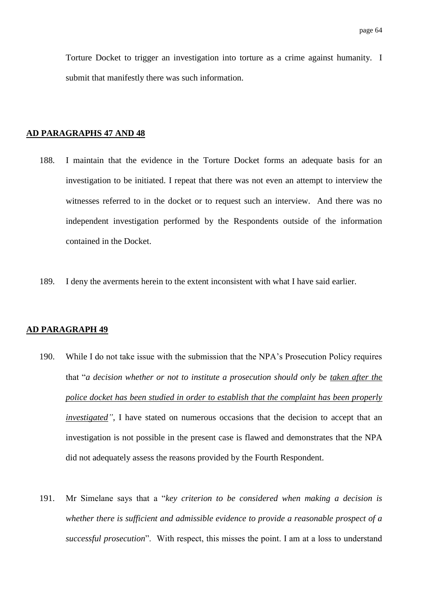Torture Docket to trigger an investigation into torture as a crime against humanity. I submit that manifestly there was such information.

## **AD PARAGRAPHS 47 AND 48**

- 188. I maintain that the evidence in the Torture Docket forms an adequate basis for an investigation to be initiated. I repeat that there was not even an attempt to interview the witnesses referred to in the docket or to request such an interview. And there was no independent investigation performed by the Respondents outside of the information contained in the Docket.
- 189. I deny the averments herein to the extent inconsistent with what I have said earlier.

- 190. While I do not take issue with the submission that the NPA"s Prosecution Policy requires that "*a decision whether or not to institute a prosecution should only be taken after the police docket has been studied in order to establish that the complaint has been properly investigated"*, I have stated on numerous occasions that the decision to accept that an investigation is not possible in the present case is flawed and demonstrates that the NPA did not adequately assess the reasons provided by the Fourth Respondent.
- 191. Mr Simelane says that a "*key criterion to be considered when making a decision is whether there is sufficient and admissible evidence to provide a reasonable prospect of a successful prosecution*". With respect, this misses the point. I am at a loss to understand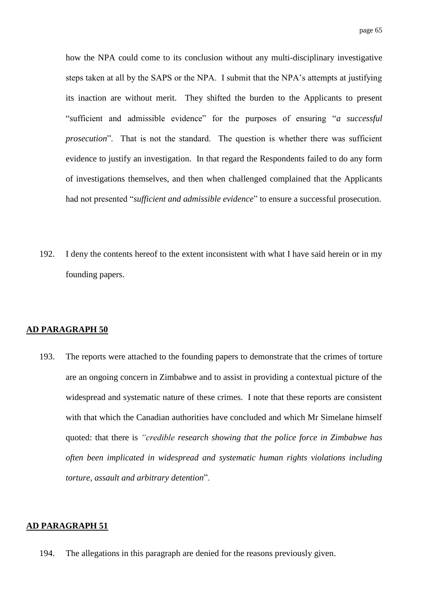how the NPA could come to its conclusion without any multi-disciplinary investigative steps taken at all by the SAPS or the NPA. I submit that the NPA"s attempts at justifying its inaction are without merit. They shifted the burden to the Applicants to present "sufficient and admissible evidence" for the purposes of ensuring "*a successful prosecution*". That is not the standard. The question is whether there was sufficient evidence to justify an investigation. In that regard the Respondents failed to do any form of investigations themselves, and then when challenged complained that the Applicants had not presented "*sufficient and admissible evidence*" to ensure a successful prosecution.

192. I deny the contents hereof to the extent inconsistent with what I have said herein or in my founding papers.

### **AD PARAGRAPH 50**

193. The reports were attached to the founding papers to demonstrate that the crimes of torture are an ongoing concern in Zimbabwe and to assist in providing a contextual picture of the widespread and systematic nature of these crimes. I note that these reports are consistent with that which the Canadian authorities have concluded and which Mr Simelane himself quoted: that there is *"credible research showing that the police force in Zimbabwe has often been implicated in widespread and systematic human rights violations including torture, assault and arbitrary detention*".

# **AD PARAGRAPH 51**

194. The allegations in this paragraph are denied for the reasons previously given.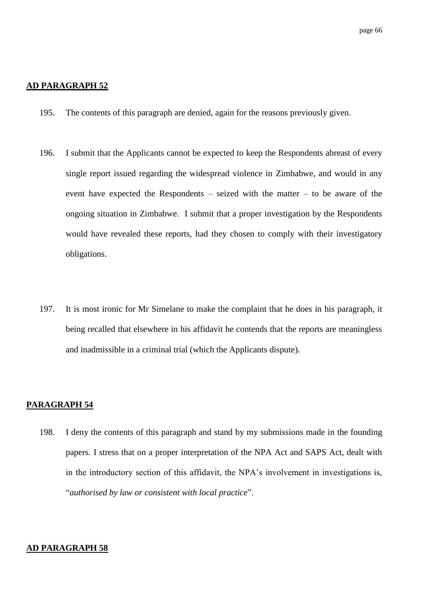## **AD PARAGRAPH 52**

- 195. The contents of this paragraph are denied, again for the reasons previously given.
- 196. I submit that the Applicants cannot be expected to keep the Respondents abreast of every single report issued regarding the widespread violence in Zimbabwe, and would in any event have expected the Respondents – seized with the matter – to be aware of the ongoing situation in Zimbabwe. I submit that a proper investigation by the Respondents would have revealed these reports, had they chosen to comply with their investigatory obligations.
- 197. It is most ironic for Mr Simelane to make the complaint that he does in his paragraph, it being recalled that elsewhere in his affidavit he contends that the reports are meaningless and inadmissible in a criminal trial (which the Applicants dispute).

## **PARAGRAPH 54**

198. I deny the contents of this paragraph and stand by my submissions made in the founding papers. I stress that on a proper interpretation of the NPA Act and SAPS Act, dealt with in the introductory section of this affidavit, the NPA's involvement in investigations is, "*authorised by law or consistent with local practice*".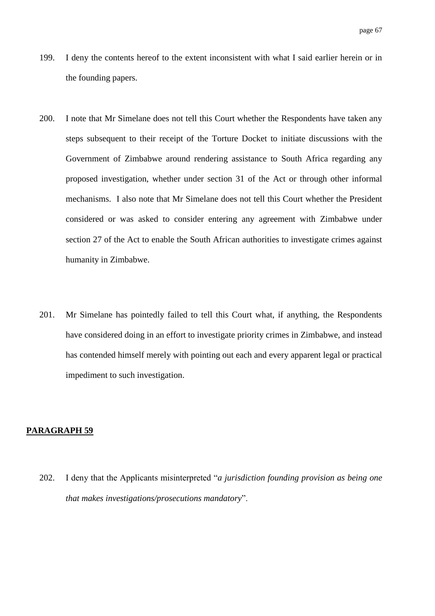- 199. I deny the contents hereof to the extent inconsistent with what I said earlier herein or in the founding papers.
- 200. I note that Mr Simelane does not tell this Court whether the Respondents have taken any steps subsequent to their receipt of the Torture Docket to initiate discussions with the Government of Zimbabwe around rendering assistance to South Africa regarding any proposed investigation, whether under section 31 of the Act or through other informal mechanisms. I also note that Mr Simelane does not tell this Court whether the President considered or was asked to consider entering any agreement with Zimbabwe under section 27 of the Act to enable the South African authorities to investigate crimes against humanity in Zimbabwe.
- 201. Mr Simelane has pointedly failed to tell this Court what, if anything, the Respondents have considered doing in an effort to investigate priority crimes in Zimbabwe, and instead has contended himself merely with pointing out each and every apparent legal or practical impediment to such investigation.

# **PARAGRAPH 59**

202. I deny that the Applicants misinterpreted "*a jurisdiction founding provision as being one that makes investigations/prosecutions mandatory*".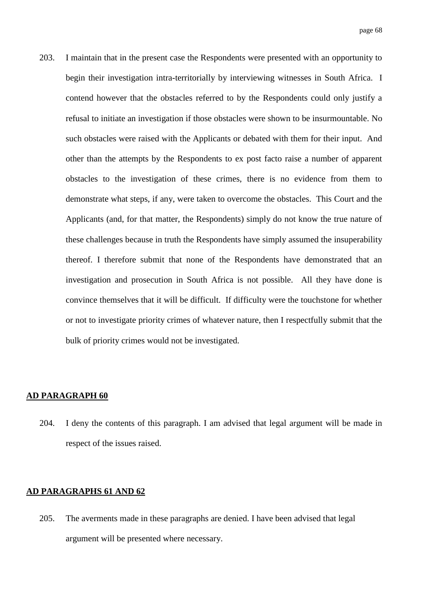203. I maintain that in the present case the Respondents were presented with an opportunity to begin their investigation intra-territorially by interviewing witnesses in South Africa. I contend however that the obstacles referred to by the Respondents could only justify a refusal to initiate an investigation if those obstacles were shown to be insurmountable. No such obstacles were raised with the Applicants or debated with them for their input. And other than the attempts by the Respondents to ex post facto raise a number of apparent obstacles to the investigation of these crimes, there is no evidence from them to demonstrate what steps, if any, were taken to overcome the obstacles. This Court and the Applicants (and, for that matter, the Respondents) simply do not know the true nature of these challenges because in truth the Respondents have simply assumed the insuperability thereof. I therefore submit that none of the Respondents have demonstrated that an investigation and prosecution in South Africa is not possible. All they have done is convince themselves that it will be difficult. If difficulty were the touchstone for whether or not to investigate priority crimes of whatever nature, then I respectfully submit that the bulk of priority crimes would not be investigated.

### **AD PARAGRAPH 60**

204. I deny the contents of this paragraph. I am advised that legal argument will be made in respect of the issues raised.

## **AD PARAGRAPHS 61 AND 62**

205. The averments made in these paragraphs are denied. I have been advised that legal argument will be presented where necessary.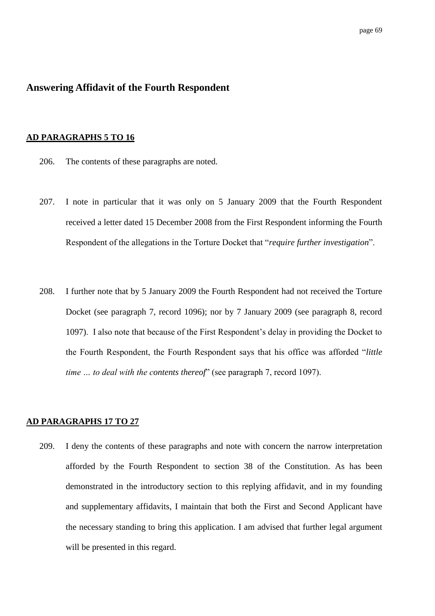# **Answering Affidavit of the Fourth Respondent**

# **AD PARAGRAPHS 5 TO 16**

- 206. The contents of these paragraphs are noted.
- 207. I note in particular that it was only on 5 January 2009 that the Fourth Respondent received a letter dated 15 December 2008 from the First Respondent informing the Fourth Respondent of the allegations in the Torture Docket that "*require further investigation*".
- 208. I further note that by 5 January 2009 the Fourth Respondent had not received the Torture Docket (see paragraph 7, record 1096); nor by 7 January 2009 (see paragraph 8, record 1097). I also note that because of the First Respondent"s delay in providing the Docket to the Fourth Respondent, the Fourth Respondent says that his office was afforded "*little time … to deal with the contents thereof*" (see paragraph 7, record 1097).

# **AD PARAGRAPHS 17 TO 27**

209. I deny the contents of these paragraphs and note with concern the narrow interpretation afforded by the Fourth Respondent to section 38 of the Constitution. As has been demonstrated in the introductory section to this replying affidavit, and in my founding and supplementary affidavits, I maintain that both the First and Second Applicant have the necessary standing to bring this application. I am advised that further legal argument will be presented in this regard.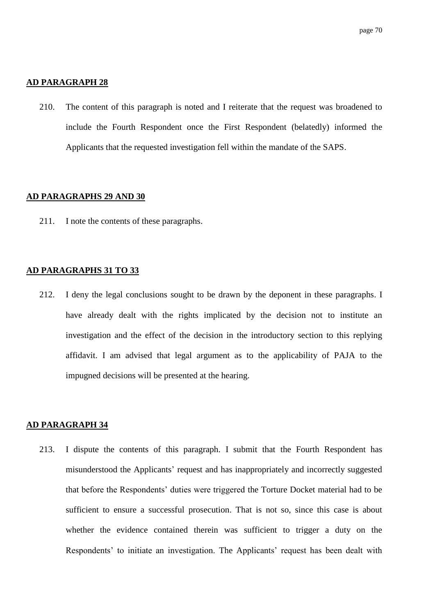#### **AD PARAGRAPH 28**

210. The content of this paragraph is noted and I reiterate that the request was broadened to include the Fourth Respondent once the First Respondent (belatedly) informed the Applicants that the requested investigation fell within the mandate of the SAPS.

#### **AD PARAGRAPHS 29 AND 30**

211. I note the contents of these paragraphs.

## **AD PARAGRAPHS 31 TO 33**

212. I deny the legal conclusions sought to be drawn by the deponent in these paragraphs. I have already dealt with the rights implicated by the decision not to institute an investigation and the effect of the decision in the introductory section to this replying affidavit. I am advised that legal argument as to the applicability of PAJA to the impugned decisions will be presented at the hearing.

## **AD PARAGRAPH 34**

213. I dispute the contents of this paragraph. I submit that the Fourth Respondent has misunderstood the Applicants' request and has inappropriately and incorrectly suggested that before the Respondents" duties were triggered the Torture Docket material had to be sufficient to ensure a successful prosecution. That is not so, since this case is about whether the evidence contained therein was sufficient to trigger a duty on the Respondents' to initiate an investigation. The Applicants' request has been dealt with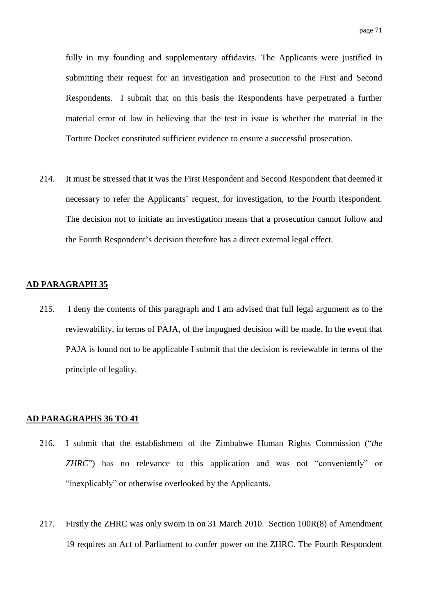fully in my founding and supplementary affidavits. The Applicants were justified in submitting their request for an investigation and prosecution to the First and Second Respondents. I submit that on this basis the Respondents have perpetrated a further material error of law in believing that the test in issue is whether the material in the Torture Docket constituted sufficient evidence to ensure a successful prosecution.

214. It must be stressed that it was the First Respondent and Second Respondent that deemed it necessary to refer the Applicants' request, for investigation, to the Fourth Respondent. The decision not to initiate an investigation means that a prosecution cannot follow and the Fourth Respondent's decision therefore has a direct external legal effect.

# **AD PARAGRAPH 35**

215. I deny the contents of this paragraph and I am advised that full legal argument as to the reviewability, in terms of PAJA, of the impugned decision will be made. In the event that PAJA is found not to be applicable I submit that the decision is reviewable in terms of the principle of legality.

#### **AD PARAGRAPHS 36 TO 41**

- 216. I submit that the establishment of the Zimbabwe Human Rights Commission ("*the ZHRC*") has no relevance to this application and was not "conveniently" or "inexplicably" or otherwise overlooked by the Applicants.
- 217. Firstly the ZHRC was only sworn in on 31 March 2010. Section 100R(8) of Amendment 19 requires an Act of Parliament to confer power on the ZHRC. The Fourth Respondent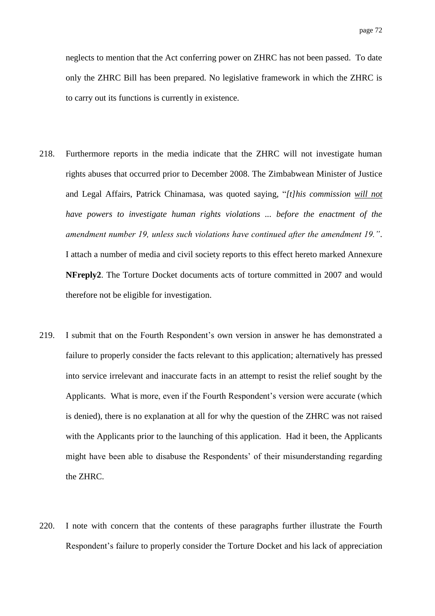neglects to mention that the Act conferring power on ZHRC has not been passed. To date only the ZHRC Bill has been prepared. No legislative framework in which the ZHRC is to carry out its functions is currently in existence.

- 218. Furthermore reports in the media indicate that the ZHRC will not investigate human rights abuses that occurred prior to December 2008. The Zimbabwean Minister of Justice and Legal Affairs, Patrick Chinamasa, was quoted saying, "*[t]his commission will not have powers to investigate human rights violations ... before the enactment of the amendment number 19, unless such violations have continued after the amendment 19."*. I attach a number of media and civil society reports to this effect hereto marked Annexure **NFreply2**. The Torture Docket documents acts of torture committed in 2007 and would therefore not be eligible for investigation.
- 219. I submit that on the Fourth Respondent"s own version in answer he has demonstrated a failure to properly consider the facts relevant to this application; alternatively has pressed into service irrelevant and inaccurate facts in an attempt to resist the relief sought by the Applicants. What is more, even if the Fourth Respondent"s version were accurate (which is denied), there is no explanation at all for why the question of the ZHRC was not raised with the Applicants prior to the launching of this application. Had it been, the Applicants might have been able to disabuse the Respondents' of their misunderstanding regarding the ZHRC.
- 220. I note with concern that the contents of these paragraphs further illustrate the Fourth Respondent's failure to properly consider the Torture Docket and his lack of appreciation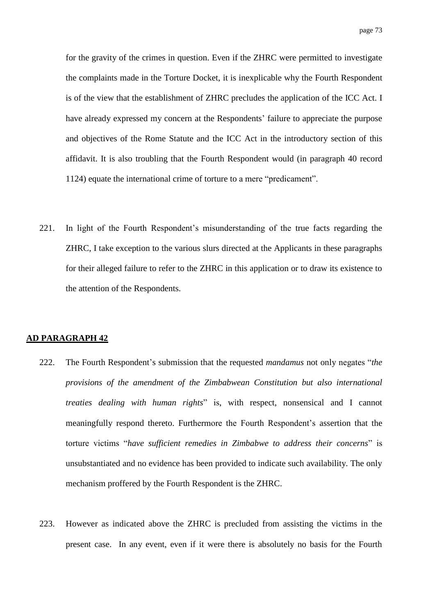for the gravity of the crimes in question. Even if the ZHRC were permitted to investigate the complaints made in the Torture Docket, it is inexplicable why the Fourth Respondent is of the view that the establishment of ZHRC precludes the application of the ICC Act. I have already expressed my concern at the Respondents' failure to appreciate the purpose and objectives of the Rome Statute and the ICC Act in the introductory section of this affidavit. It is also troubling that the Fourth Respondent would (in paragraph 40 record 1124) equate the international crime of torture to a mere "predicament".

221. In light of the Fourth Respondent"s misunderstanding of the true facts regarding the ZHRC, I take exception to the various slurs directed at the Applicants in these paragraphs for their alleged failure to refer to the ZHRC in this application or to draw its existence to the attention of the Respondents.

#### **AD PARAGRAPH 42**

- 222. The Fourth Respondent"s submission that the requested *mandamus* not only negates "*the provisions of the amendment of the Zimbabwean Constitution but also international treaties dealing with human rights*" is, with respect, nonsensical and I cannot meaningfully respond thereto. Furthermore the Fourth Respondent's assertion that the torture victims "*have sufficient remedies in Zimbabwe to address their concerns*" is unsubstantiated and no evidence has been provided to indicate such availability. The only mechanism proffered by the Fourth Respondent is the ZHRC.
- 223. However as indicated above the ZHRC is precluded from assisting the victims in the present case. In any event, even if it were there is absolutely no basis for the Fourth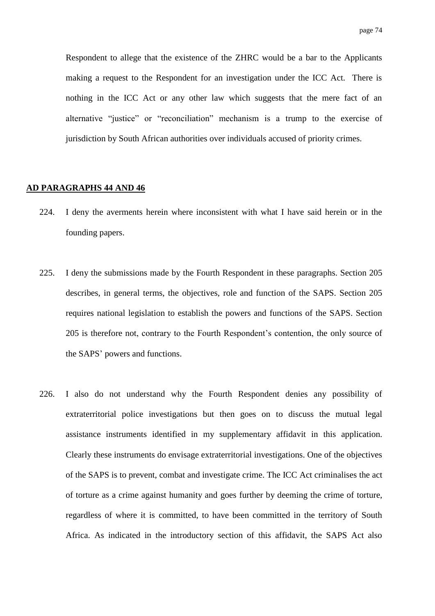Respondent to allege that the existence of the ZHRC would be a bar to the Applicants making a request to the Respondent for an investigation under the ICC Act. There is nothing in the ICC Act or any other law which suggests that the mere fact of an alternative "justice" or "reconciliation" mechanism is a trump to the exercise of jurisdiction by South African authorities over individuals accused of priority crimes.

# **AD PARAGRAPHS 44 AND 46**

- 224. I deny the averments herein where inconsistent with what I have said herein or in the founding papers.
- 225. I deny the submissions made by the Fourth Respondent in these paragraphs. Section 205 describes, in general terms, the objectives, role and function of the SAPS. Section 205 requires national legislation to establish the powers and functions of the SAPS. Section 205 is therefore not, contrary to the Fourth Respondent"s contention, the only source of the SAPS" powers and functions.
- 226. I also do not understand why the Fourth Respondent denies any possibility of extraterritorial police investigations but then goes on to discuss the mutual legal assistance instruments identified in my supplementary affidavit in this application. Clearly these instruments do envisage extraterritorial investigations. One of the objectives of the SAPS is to prevent, combat and investigate crime. The ICC Act criminalises the act of torture as a crime against humanity and goes further by deeming the crime of torture, regardless of where it is committed, to have been committed in the territory of South Africa. As indicated in the introductory section of this affidavit, the SAPS Act also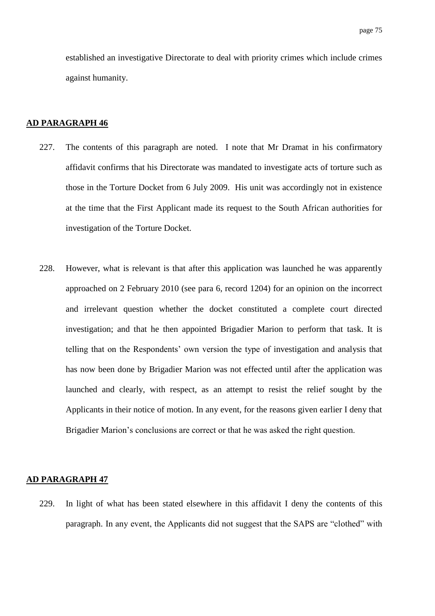established an investigative Directorate to deal with priority crimes which include crimes against humanity.

#### **AD PARAGRAPH 46**

- 227. The contents of this paragraph are noted. I note that Mr Dramat in his confirmatory affidavit confirms that his Directorate was mandated to investigate acts of torture such as those in the Torture Docket from 6 July 2009. His unit was accordingly not in existence at the time that the First Applicant made its request to the South African authorities for investigation of the Torture Docket.
- 228. However, what is relevant is that after this application was launched he was apparently approached on 2 February 2010 (see para 6, record 1204) for an opinion on the incorrect and irrelevant question whether the docket constituted a complete court directed investigation; and that he then appointed Brigadier Marion to perform that task. It is telling that on the Respondents" own version the type of investigation and analysis that has now been done by Brigadier Marion was not effected until after the application was launched and clearly, with respect, as an attempt to resist the relief sought by the Applicants in their notice of motion. In any event, for the reasons given earlier I deny that Brigadier Marion's conclusions are correct or that he was asked the right question.

#### **AD PARAGRAPH 47**

229. In light of what has been stated elsewhere in this affidavit I deny the contents of this paragraph. In any event, the Applicants did not suggest that the SAPS are "clothed" with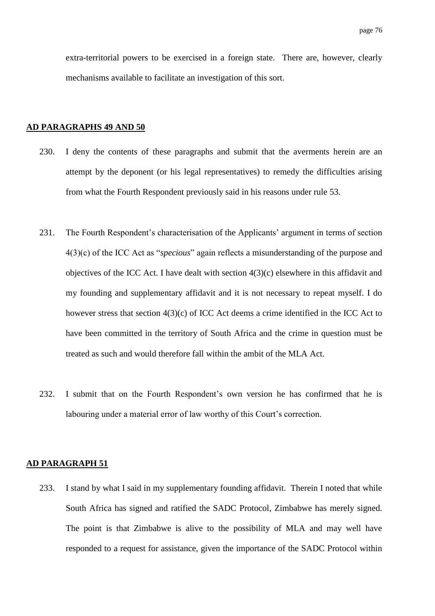extra-territorial powers to be exercised in a foreign state. There are, however, clearly mechanisms available to facilitate an investigation of this sort.

### **AD PARAGRAPHS 49 AND 50**

- 230. I deny the contents of these paragraphs and submit that the averments herein are an attempt by the deponent (or his legal representatives) to remedy the difficulties arising from what the Fourth Respondent previously said in his reasons under rule 53.
- 231. The Fourth Respondent's characterisation of the Applicants' argument in terms of section 4(3)(c) of the ICC Act as "*specious*" again reflects a misunderstanding of the purpose and objectives of the ICC Act. I have dealt with section  $4(3)(c)$  elsewhere in this affidavit and my founding and supplementary affidavit and it is not necessary to repeat myself. I do however stress that section 4(3)(c) of ICC Act deems a crime identified in the ICC Act to have been committed in the territory of South Africa and the crime in question must be treated as such and would therefore fall within the ambit of the MLA Act.
- 232. I submit that on the Fourth Respondent"s own version he has confirmed that he is labouring under a material error of law worthy of this Court's correction.

#### **AD PARAGRAPH 51**

233. I stand by what I said in my supplementary founding affidavit. Therein I noted that while South Africa has signed and ratified the SADC Protocol, Zimbabwe has merely signed. The point is that Zimbabwe is alive to the possibility of MLA and may well have responded to a request for assistance, given the importance of the SADC Protocol within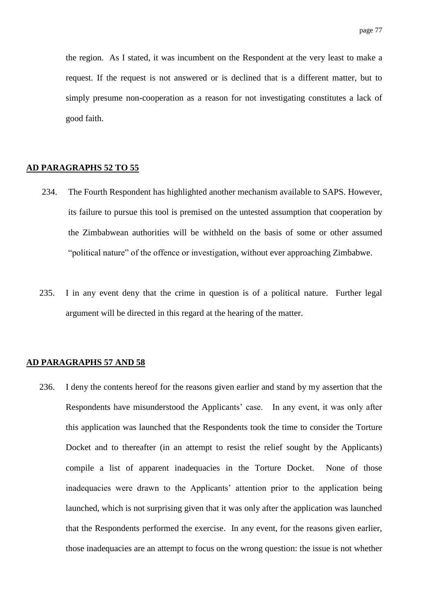the region. As I stated, it was incumbent on the Respondent at the very least to make a request. If the request is not answered or is declined that is a different matter, but to simply presume non-cooperation as a reason for not investigating constitutes a lack of good faith.

### **AD PARAGRAPHS 52 TO 55**

- 234. The Fourth Respondent has highlighted another mechanism available to SAPS. However, its failure to pursue this tool is premised on the untested assumption that cooperation by the Zimbabwean authorities will be withheld on the basis of some or other assumed "political nature" of the offence or investigation, without ever approaching Zimbabwe.
- 235. I in any event deny that the crime in question is of a political nature. Further legal argument will be directed in this regard at the hearing of the matter.

#### **AD PARAGRAPHS 57 AND 58**

236. I deny the contents hereof for the reasons given earlier and stand by my assertion that the Respondents have misunderstood the Applicants' case. In any event, it was only after this application was launched that the Respondents took the time to consider the Torture Docket and to thereafter (in an attempt to resist the relief sought by the Applicants) compile a list of apparent inadequacies in the Torture Docket. None of those inadequacies were drawn to the Applicants" attention prior to the application being launched, which is not surprising given that it was only after the application was launched that the Respondents performed the exercise. In any event, for the reasons given earlier, those inadequacies are an attempt to focus on the wrong question: the issue is not whether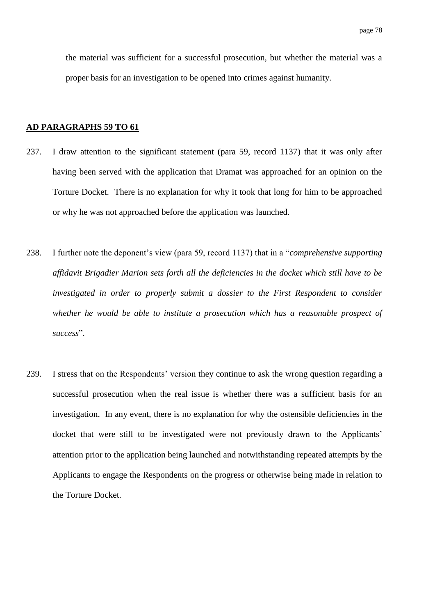the material was sufficient for a successful prosecution, but whether the material was a proper basis for an investigation to be opened into crimes against humanity.

### **AD PARAGRAPHS 59 TO 61**

- 237. I draw attention to the significant statement (para 59, record 1137) that it was only after having been served with the application that Dramat was approached for an opinion on the Torture Docket. There is no explanation for why it took that long for him to be approached or why he was not approached before the application was launched.
- 238. I further note the deponent"s view (para 59, record 1137) that in a "*comprehensive supporting affidavit Brigadier Marion sets forth all the deficiencies in the docket which still have to be investigated in order to properly submit a dossier to the First Respondent to consider whether he would be able to institute a prosecution which has a reasonable prospect of success*".
- 239. I stress that on the Respondents' version they continue to ask the wrong question regarding a successful prosecution when the real issue is whether there was a sufficient basis for an investigation. In any event, there is no explanation for why the ostensible deficiencies in the docket that were still to be investigated were not previously drawn to the Applicants' attention prior to the application being launched and notwithstanding repeated attempts by the Applicants to engage the Respondents on the progress or otherwise being made in relation to the Torture Docket.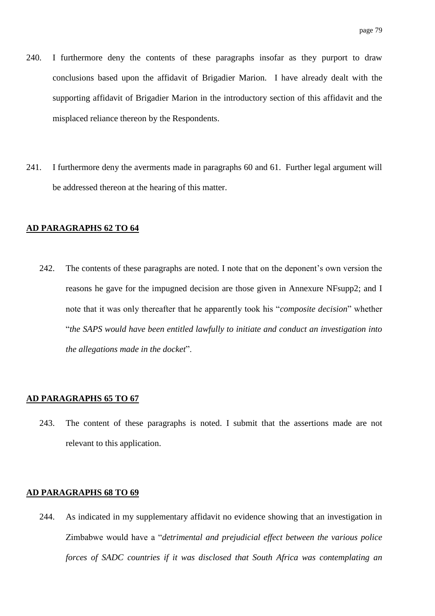- 240. I furthermore deny the contents of these paragraphs insofar as they purport to draw conclusions based upon the affidavit of Brigadier Marion. I have already dealt with the supporting affidavit of Brigadier Marion in the introductory section of this affidavit and the misplaced reliance thereon by the Respondents.
- 241. I furthermore deny the averments made in paragraphs 60 and 61. Further legal argument will be addressed thereon at the hearing of this matter.

### **AD PARAGRAPHS 62 TO 64**

242. The contents of these paragraphs are noted. I note that on the deponent"s own version the reasons he gave for the impugned decision are those given in Annexure NFsupp2; and I note that it was only thereafter that he apparently took his "*composite decision*" whether "*the SAPS would have been entitled lawfully to initiate and conduct an investigation into the allegations made in the docket*".

### **AD PARAGRAPHS 65 TO 67**

243. The content of these paragraphs is noted. I submit that the assertions made are not relevant to this application.

### **AD PARAGRAPHS 68 TO 69**

244. As indicated in my supplementary affidavit no evidence showing that an investigation in Zimbabwe would have a "*detrimental and prejudicial effect between the various police forces of SADC countries if it was disclosed that South Africa was contemplating an*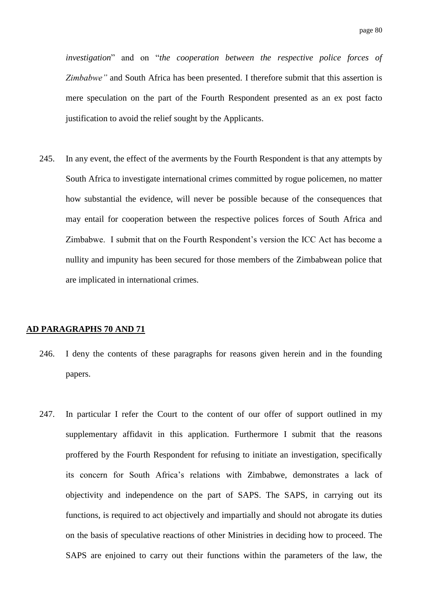*investigation*" and on "*the cooperation between the respective police forces of Zimbabwe"* and South Africa has been presented. I therefore submit that this assertion is mere speculation on the part of the Fourth Respondent presented as an ex post facto justification to avoid the relief sought by the Applicants.

245. In any event, the effect of the averments by the Fourth Respondent is that any attempts by South Africa to investigate international crimes committed by rogue policemen, no matter how substantial the evidence, will never be possible because of the consequences that may entail for cooperation between the respective polices forces of South Africa and Zimbabwe. I submit that on the Fourth Respondent"s version the ICC Act has become a nullity and impunity has been secured for those members of the Zimbabwean police that are implicated in international crimes.

### **AD PARAGRAPHS 70 AND 71**

- 246. I deny the contents of these paragraphs for reasons given herein and in the founding papers.
- 247. In particular I refer the Court to the content of our offer of support outlined in my supplementary affidavit in this application. Furthermore I submit that the reasons proffered by the Fourth Respondent for refusing to initiate an investigation, specifically its concern for South Africa"s relations with Zimbabwe, demonstrates a lack of objectivity and independence on the part of SAPS. The SAPS, in carrying out its functions, is required to act objectively and impartially and should not abrogate its duties on the basis of speculative reactions of other Ministries in deciding how to proceed. The SAPS are enjoined to carry out their functions within the parameters of the law, the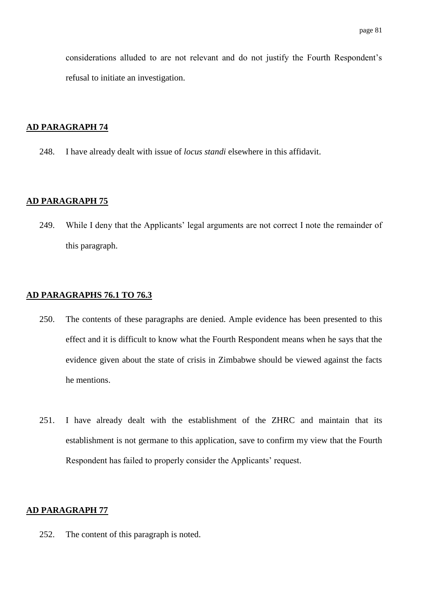considerations alluded to are not relevant and do not justify the Fourth Respondent"s refusal to initiate an investigation.

### **AD PARAGRAPH 74**

248. I have already dealt with issue of *locus standi* elsewhere in this affidavit.

#### **AD PARAGRAPH 75**

249. While I deny that the Applicants' legal arguments are not correct I note the remainder of this paragraph.

### **AD PARAGRAPHS 76.1 TO 76.3**

- 250. The contents of these paragraphs are denied. Ample evidence has been presented to this effect and it is difficult to know what the Fourth Respondent means when he says that the evidence given about the state of crisis in Zimbabwe should be viewed against the facts he mentions.
- 251. I have already dealt with the establishment of the ZHRC and maintain that its establishment is not germane to this application, save to confirm my view that the Fourth Respondent has failed to properly consider the Applicants' request.

# **AD PARAGRAPH 77**

252. The content of this paragraph is noted.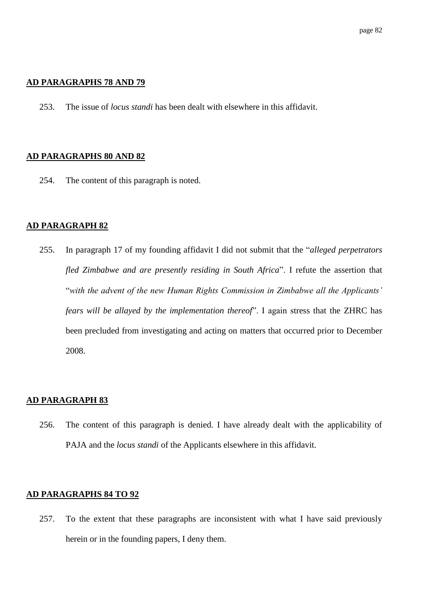#### **AD PARAGRAPHS 78 AND 79**

253. The issue of *locus standi* has been dealt with elsewhere in this affidavit.

### **AD PARAGRAPHS 80 AND 82**

254. The content of this paragraph is noted.

#### **AD PARAGRAPH 82**

255. In paragraph 17 of my founding affidavit I did not submit that the "*alleged perpetrators fled Zimbabwe and are presently residing in South Africa*". I refute the assertion that "*with the advent of the new Human Rights Commission in Zimbabwe all the Applicants' fears will be allayed by the implementation thereof*". I again stress that the ZHRC has been precluded from investigating and acting on matters that occurred prior to December 2008.

# **AD PARAGRAPH 83**

256. The content of this paragraph is denied. I have already dealt with the applicability of PAJA and the *locus standi* of the Applicants elsewhere in this affidavit.

# **AD PARAGRAPHS 84 TO 92**

257. To the extent that these paragraphs are inconsistent with what I have said previously herein or in the founding papers, I deny them.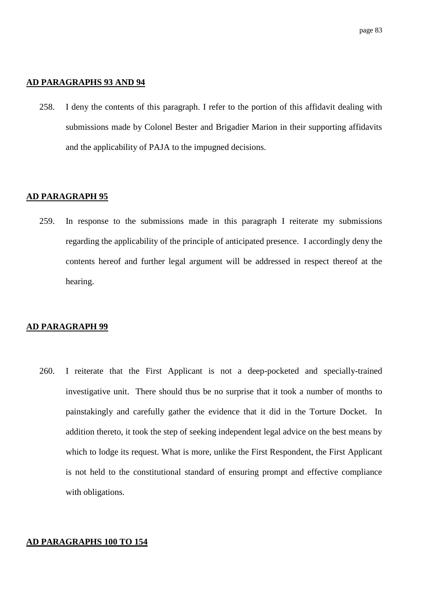### **AD PARAGRAPHS 93 AND 94**

258. I deny the contents of this paragraph. I refer to the portion of this affidavit dealing with submissions made by Colonel Bester and Brigadier Marion in their supporting affidavits and the applicability of PAJA to the impugned decisions.

#### **AD PARAGRAPH 95**

259. In response to the submissions made in this paragraph I reiterate my submissions regarding the applicability of the principle of anticipated presence. I accordingly deny the contents hereof and further legal argument will be addressed in respect thereof at the hearing.

#### **AD PARAGRAPH 99**

260. I reiterate that the First Applicant is not a deep-pocketed and specially-trained investigative unit. There should thus be no surprise that it took a number of months to painstakingly and carefully gather the evidence that it did in the Torture Docket. In addition thereto, it took the step of seeking independent legal advice on the best means by which to lodge its request. What is more, unlike the First Respondent, the First Applicant is not held to the constitutional standard of ensuring prompt and effective compliance with obligations.

#### **AD PARAGRAPHS 100 TO 154**